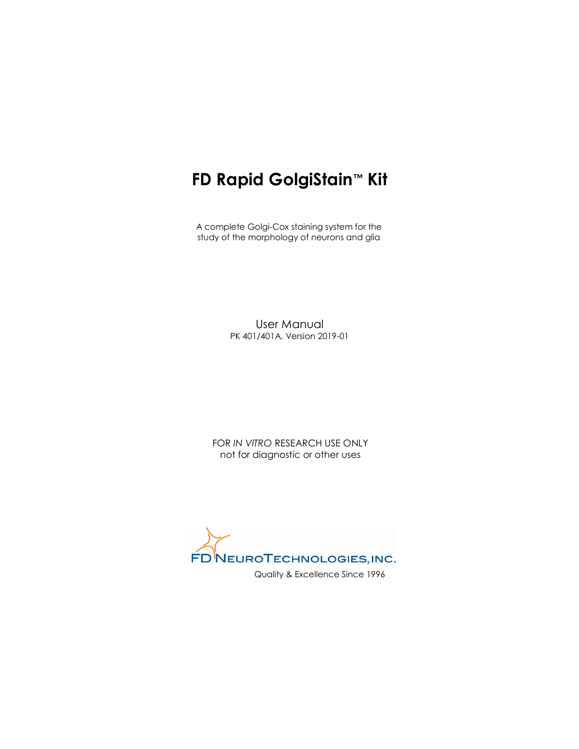# FD Rapid GolgiStain™ Kit

 A complete Golgi-Cox staining system for the study of the morphology of neurons and glia

> User Manual PK 401/401A, Version 2019-01

FOR IN VITRO RESEARCH USE ONLY not for diagnostic or other uses

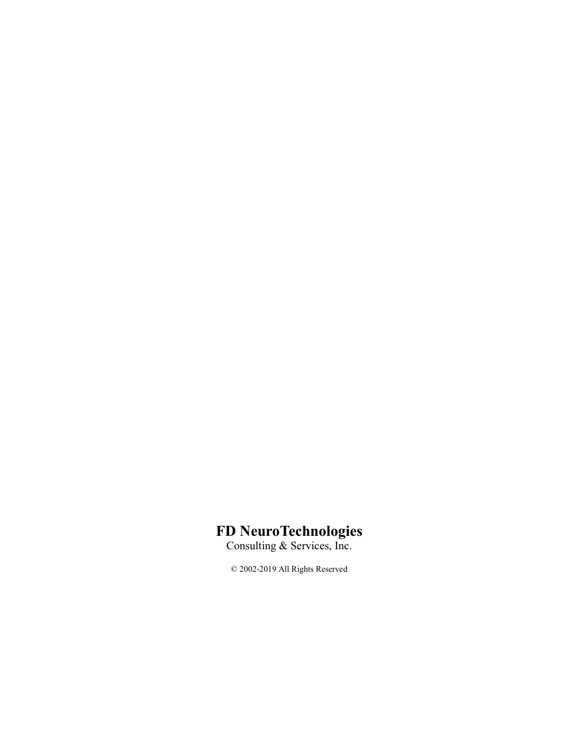## FD NeuroTechnologies

Consulting & Services, Inc.

© 2002-2019 All Rights Reserved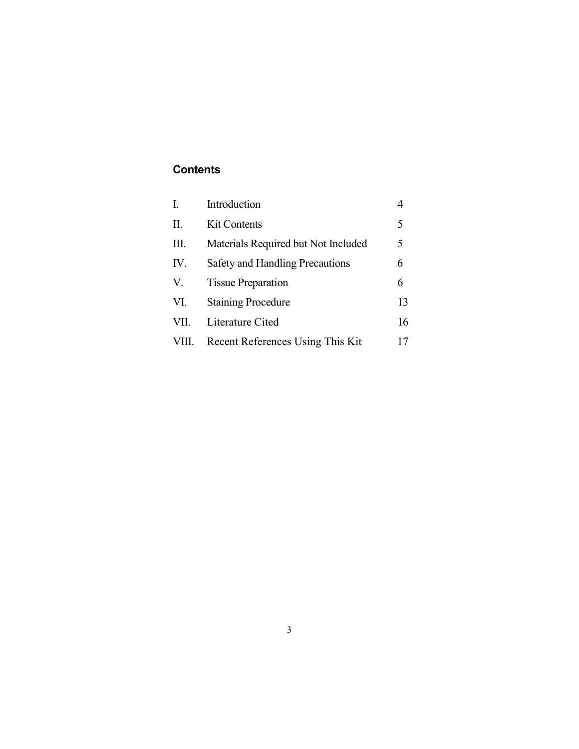## **Contents**

| I.    | Introduction                        |    |
|-------|-------------------------------------|----|
| Π.    | <b>Kit Contents</b>                 | 5  |
| Ш.    | Materials Required but Not Included | 5  |
| IV.   | Safety and Handling Precautions     | 6  |
| V.    | <b>Tissue Preparation</b>           | 6  |
| VI.   | <b>Staining Procedure</b>           | 13 |
| VII.  | Literature Cited                    | 16 |
| VIII. | Recent References Using This Kit    | 17 |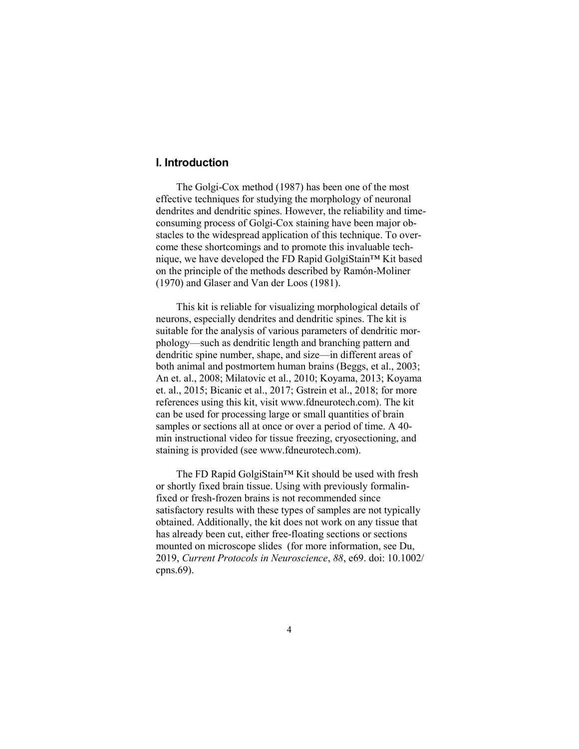## I. Introduction

 The Golgi-Cox method (1987) has been one of the most effective techniques for studying the morphology of neuronal dendrites and dendritic spines. However, the reliability and timeconsuming process of Golgi-Cox staining have been major obstacles to the widespread application of this technique. To overcome these shortcomings and to promote this invaluable technique, we have developed the FD Rapid GolgiStain™ Kit based on the principle of the methods described by Ramón-Moliner (1970) and Glaser and Van der Loos (1981).

 This kit is reliable for visualizing morphological details of neurons, especially dendrites and dendritic spines. The kit is suitable for the analysis of various parameters of dendritic morphology—such as dendritic length and branching pattern and dendritic spine number, shape, and size—in different areas of both animal and postmortem human brains (Beggs, et al., 2003; An et. al., 2008; Milatovic et al., 2010; Koyama, 2013; Koyama et. al., 2015; Bicanic et al., 2017; Gstrein et al., 2018; for more references using this kit, visit www.fdneurotech.com). The kit can be used for processing large or small quantities of brain samples or sections all at once or over a period of time. A 40 min instructional video for tissue freezing, cryosectioning, and staining is provided (see www.fdneurotech.com).

 The FD Rapid GolgiStain™ Kit should be used with fresh or shortly fixed brain tissue. Using with previously formalinfixed or fresh-frozen brains is not recommended since satisfactory results with these types of samples are not typically obtained. Additionally, the kit does not work on any tissue that has already been cut, either free-floating sections or sections mounted on microscope slides (for more information, see Du, 2019, Current Protocols in Neuroscience, 88, e69. doi: 10.1002/ cpns.69).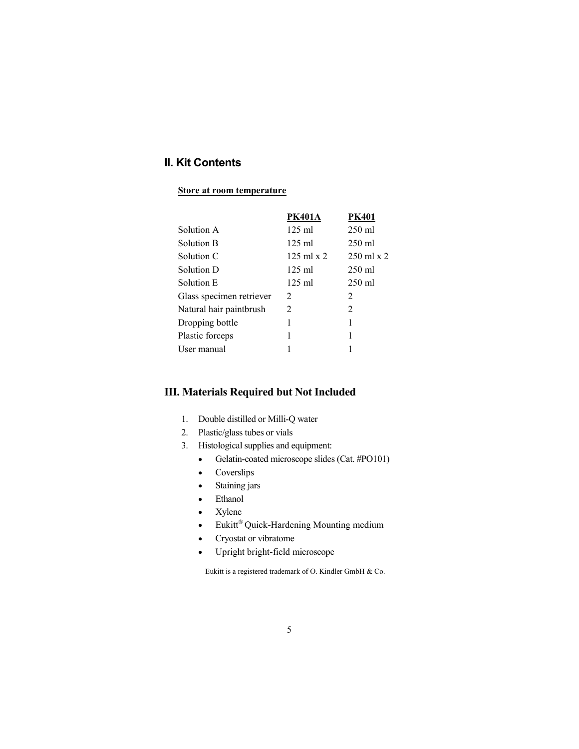## II. Kit Contents

#### Store at room temperature

|                          | <b>PK401A</b>             | <b>PK401</b>              |
|--------------------------|---------------------------|---------------------------|
| Solution A               | $125$ ml                  | $250$ ml                  |
| Solution B               | $125 \text{ ml}$          | $250 \text{ ml}$          |
| Solution C               | $125 \text{ ml} \times 2$ | $250 \text{ ml} \times 2$ |
| Solution D               | $125 \text{ ml}$          | $250 \text{ ml}$          |
| Solution E               | $125 \text{ ml}$          | $250 \text{ ml}$          |
| Glass specimen retriever | 2                         | 2                         |
| Natural hair paintbrush  | 2                         | 2                         |
| Dropping bottle          | 1                         | 1                         |
| Plastic forceps          | 1                         | 1                         |
| User manual              |                           | 1                         |

## III. Materials Required but Not Included

- 1. Double distilled or Milli-Q water
- 2. Plastic/glass tubes or vials
- 3. Histological supplies and equipment:
	- Gelatin-coated microscope slides (Cat. #PO101)
	- Coverslips
	- Staining jars
	- Ethanol
	- Xylene
	- Eukitt® Quick-Hardening Mounting medium
	- Cryostat or vibratome
	- Upright bright-field microscope

Eukitt is a registered trademark of O. Kindler GmbH & Co.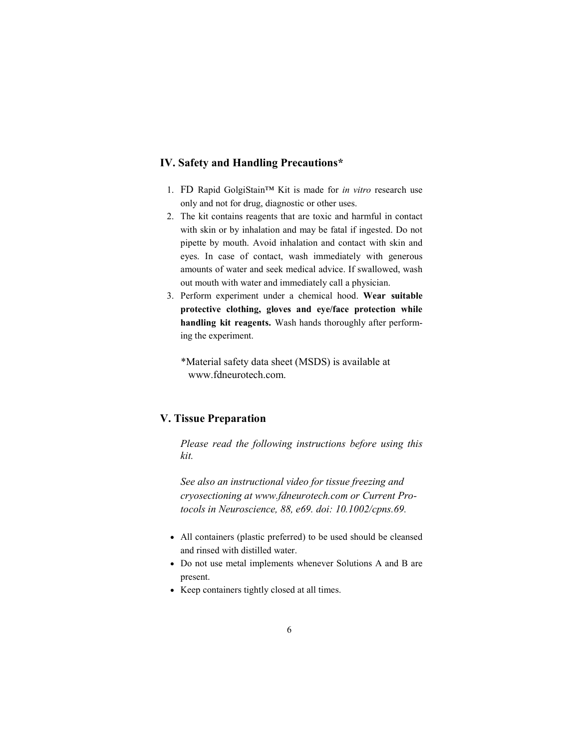#### IV. Safety and Handling Precautions\*

- 1. FD Rapid GolgiStain™ Kit is made for in vitro research use only and not for drug, diagnostic or other uses.
- 2. The kit contains reagents that are toxic and harmful in contact with skin or by inhalation and may be fatal if ingested. Do not pipette by mouth. Avoid inhalation and contact with skin and eyes. In case of contact, wash immediately with generous amounts of water and seek medical advice. If swallowed, wash out mouth with water and immediately call a physician.
- 3. Perform experiment under a chemical hood. Wear suitable protective clothing, gloves and eye/face protection while handling kit reagents. Wash hands thoroughly after performing the experiment.
	- \*Material safety data sheet (MSDS) is available at www.fdneurotech.com.

## V. Tissue Preparation

 Please read the following instructions before using this kit.

 See also an instructional video for tissue freezing and cryosectioning at www.fdneurotech.com or Current Pro tocols in Neuroscience, 88, e69. doi: 10.1002/cpns.69.

- All containers (plastic preferred) to be used should be cleansed and rinsed with distilled water.
- Do not use metal implements whenever Solutions A and B are present.
- Keep containers tightly closed at all times.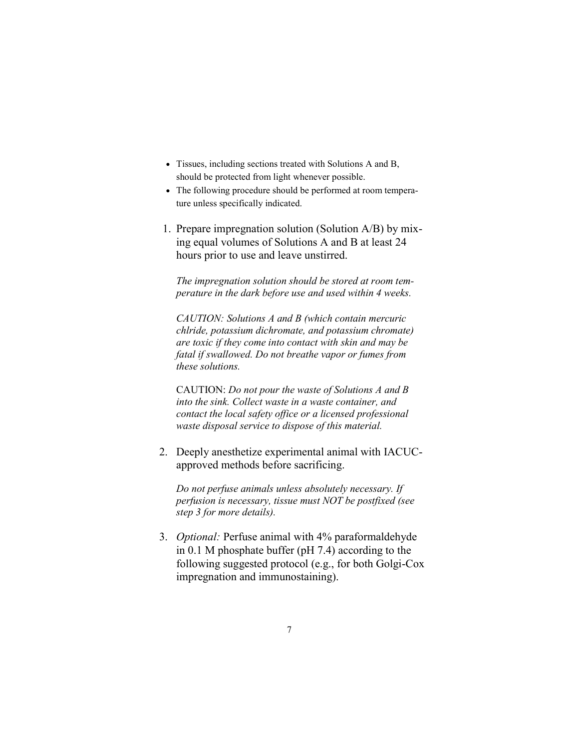- Tissues, including sections treated with Solutions A and B, should be protected from light whenever possible.
- The following procedure should be performed at room temperature unless specifically indicated.
- 1. Prepare impregnation solution (Solution A/B) by mixing equal volumes of Solutions A and B at least 24 hours prior to use and leave unstirred.

 The impregnation solution should be stored at room tem perature in the dark before use and used within 4 weeks.

 CAUTION: Solutions A and B (which contain mercuric chlride, potassium dichromate, and potassium chromate) are toxic if they come into contact with skin and may be fatal if swallowed. Do not breathe vapor or fumes from these solutions.

 CAUTION: Do not pour the waste of Solutions A and B into the sink. Collect waste in a waste container, and contact the local safety office or a licensed professional waste disposal service to dispose of this material.

2. Deeply anesthetize experimental animal with IACUCapproved methods before sacrificing.

 Do not perfuse animals unless absolutely necessary. If perfusion is necessary, tissue must NOT be postfixed (see step 3 for more details).

3. Optional: Perfuse animal with 4% paraformaldehyde in 0.1 M phosphate buffer (pH 7.4) according to the following suggested protocol (e.g., for both Golgi-Cox impregnation and immunostaining).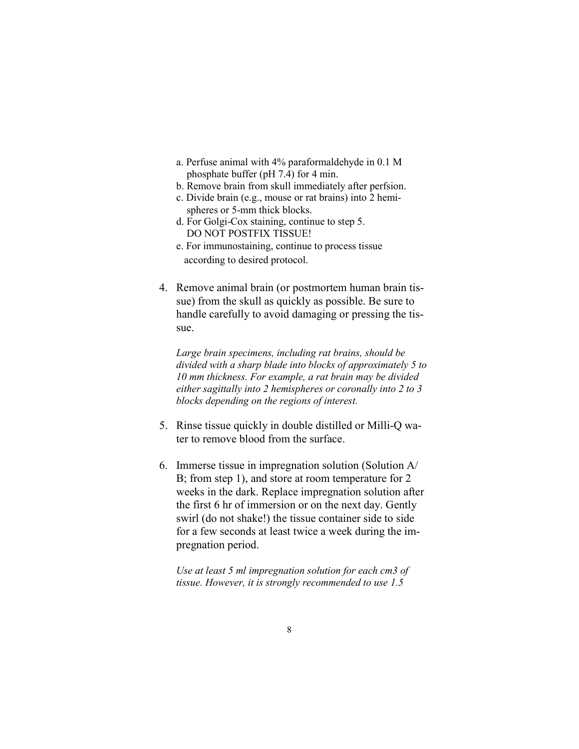- a. Perfuse animal with 4% paraformaldehyde in 0.1 M phosphate buffer (pH 7.4) for 4 min.
- b. Remove brain from skull immediately after perfsion.
- c. Divide brain (e.g., mouse or rat brains) into 2 hemi spheres or 5-mm thick blocks.
- d. For Golgi-Cox staining, continue to step 5. DO NOT POSTFIX TISSUE!
- e. For immunostaining, continue to process tissue according to desired protocol.
- 4. Remove animal brain (or postmortem human brain tissue) from the skull as quickly as possible. Be sure to handle carefully to avoid damaging or pressing the tissue.

 Large brain specimens, including rat brains, should be divided with a sharp blade into blocks of approximately 5 to 10 mm thickness. For example, a rat brain may be divided either sagittally into 2 hemispheres or coronally into 2 to 3 blocks depending on the regions of interest.

- 5. Rinse tissue quickly in double distilled or Milli-Q water to remove blood from the surface.
- 6. Immerse tissue in impregnation solution (Solution A/ B; from step 1), and store at room temperature for 2 weeks in the dark. Replace impregnation solution after the first 6 hr of immersion or on the next day. Gently swirl (do not shake!) the tissue container side to side for a few seconds at least twice a week during the impregnation period.

 Use at least 5 ml impregnation solution for each cm3 of tissue. However, it is strongly recommended to use 1.5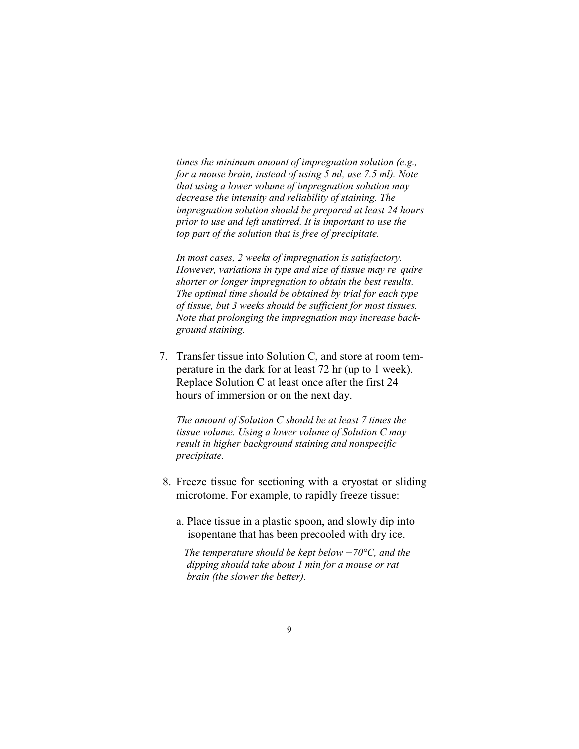times the minimum amount of impregnation solution (e.g., for a mouse brain, instead of using 5 ml, use 7.5 ml). Note that using a lower volume of impregnation solution may decrease the intensity and reliability of staining. The impregnation solution should be prepared at least 24 hours prior to use and left unstirred. It is important to use the top part of the solution that is free of precipitate.

 In most cases, 2 weeks of impregnation is satisfactory. However, variations in type and size of tissue may re quire shorter or longer impregnation to obtain the best results. The optimal time should be obtained by trial for each type of tissue, but 3 weeks should be sufficient for most tissues. Note that prolonging the impregnation may increase back ground staining.

7. Transfer tissue into Solution C, and store at room temperature in the dark for at least 72 hr (up to 1 week). Replace Solution C at least once after the first 24 hours of immersion or on the next day.

 The amount of Solution C should be at least 7 times the tissue volume. Using a lower volume of Solution C may result in higher background staining and nonspecific precipitate.

- 8. Freeze tissue for sectioning with a cryostat or sliding microtome. For example, to rapidly freeze tissue:
	- a. Place tissue in a plastic spoon, and slowly dip into isopentane that has been precooled with dry ice.

The temperature should be kept below  $-70^{\circ}$ C, and the dipping should take about 1 min for a mouse or rat brain (the slower the better).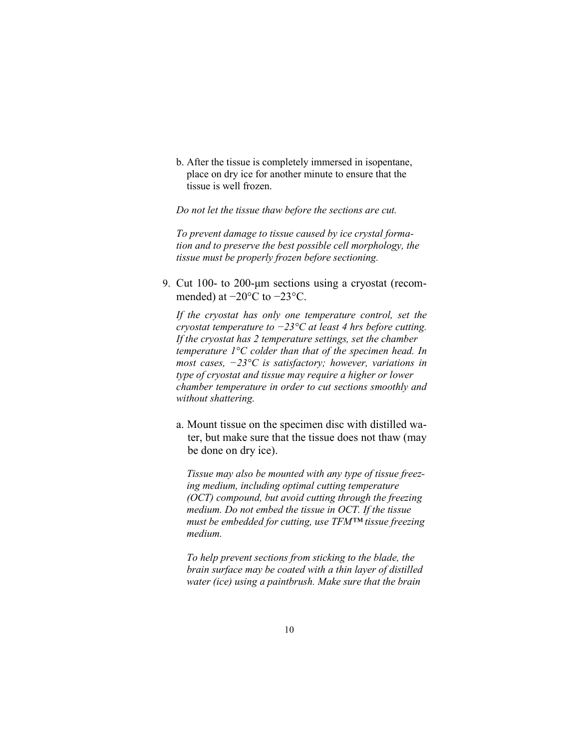b. After the tissue is completely immersed in isopentane, place on dry ice for another minute to ensure that the tissue is well frozen.

Do not let the tissue thaw before the sections are cut.

 To prevent damage to tissue caused by ice crystal forma tion and to preserve the best possible cell morphology, the tissue must be properly frozen before sectioning.

9. Cut 100- to 200-μm sections using a cryostat (recommended) at  $-20\degree$ C to  $-23\degree$ C.

 If the cryostat has only one temperature control, set the cryostat temperature to  $-23^{\circ}$ C at least 4 hrs before cutting. If the cryostat has 2 temperature settings, set the chamber temperature 1°C colder than that of the specimen head. In most cases,  $-23^{\circ}\text{C}$  is satisfactory; however, variations in type of cryostat and tissue may require a higher or lower chamber temperature in order to cut sections smoothly and without shattering.

 a. Mount tissue on the specimen disc with distilled wa ter, but make sure that the tissue does not thaw (may be done on dry ice).

 Tissue may also be mounted with any type of tissue freez ing medium, including optimal cutting temperature (OCT) compound, but avoid cutting through the freezing medium. Do not embed the tissue in OCT. If the tissue must be embedded for cutting, use TFM™ tissue freezing medium.

 To help prevent sections from sticking to the blade, the brain surface may be coated with a thin layer of distilled water (ice) using a paintbrush. Make sure that the brain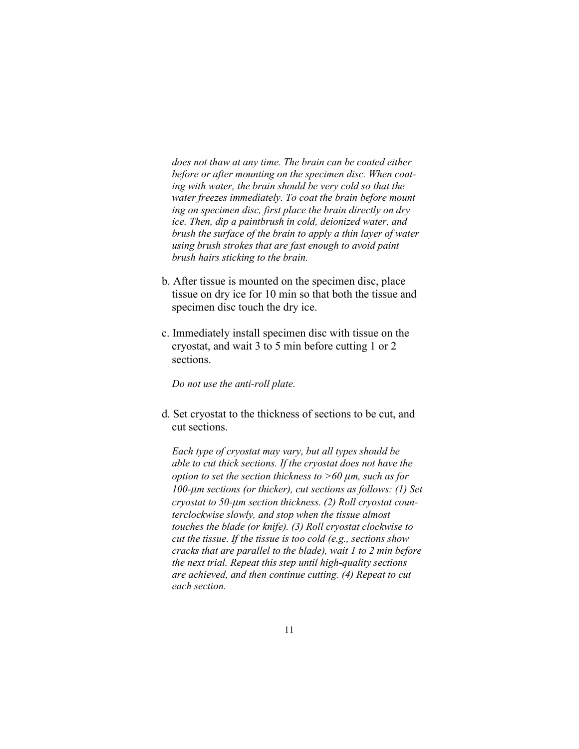does not thaw at any time. The brain can be coated either before or after mounting on the specimen disc. When coat ing with water, the brain should be very cold so that the water freezes immediately. To coat the brain before mount ing on specimen disc, first place the brain directly on dry ice. Then, dip a paintbrush in cold, deionized water, and brush the surface of the brain to apply a thin layer of water using brush strokes that are fast enough to avoid paint brush hairs sticking to the brain.

- b. After tissue is mounted on the specimen disc, place tissue on dry ice for 10 min so that both the tissue and specimen disc touch the dry ice.
- c. Immediately install specimen disc with tissue on the cryostat, and wait 3 to 5 min before cutting 1 or 2 sections.

Do not use the anti-roll plate.

d. Set cryostat to the thickness of sections to be cut, and cut sections.

Each type of cryostat may vary, but all types should be able to cut thick sections. If the cryostat does not have the option to set the section thickness to  $>60$   $\mu$ m, such as for 100-μm sections (or thicker), cut sections as follows: (1) Set cryostat to 50-μm section thickness. (2) Roll cryostat coun terclockwise slowly, and stop when the tissue almost touches the blade (or knife). (3) Roll cryostat clockwise to cut the tissue. If the tissue is too cold (e.g., sections show cracks that are parallel to the blade), wait 1 to 2 min before the next trial. Repeat this step until high-quality sections are achieved, and then continue cutting. (4) Repeat to cut each section.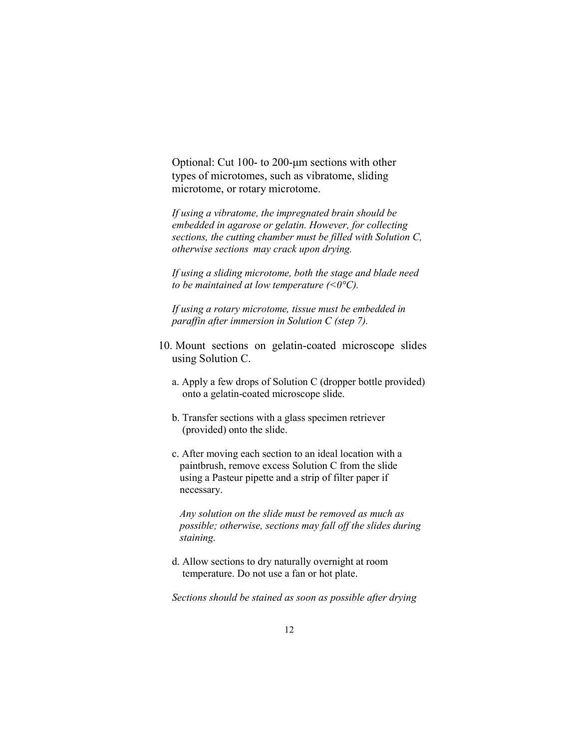Optional: Cut 100- to 200-μm sections with other types of microtomes, such as vibratome, sliding microtome, or rotary microtome.

If using a vibratome, the impregnated brain should be embedded in agarose or gelatin. However, for collecting sections, the cutting chamber must be filled with Solution C, otherwise sections may crack upon drying.

 If using a sliding microtome, both the stage and blade need to be maintained at low temperature  $( $0^{\circ}C$ ).$ 

 If using a rotary microtome, tissue must be embedded in paraffin after immersion in Solution C (step 7).

- 10. Mount sections on gelatin-coated microscope slides using Solution C.
	- a. Apply a few drops of Solution C (dropper bottle provided) onto a gelatin-coated microscope slide.
	- b. Transfer sections with a glass specimen retriever (provided) onto the slide.
	- c. After moving each section to an ideal location with a paintbrush, remove excess Solution C from the slide using a Pasteur pipette and a strip of filter paper if necessary.

 Any solution on the slide must be removed as much as possible; otherwise, sections may fall off the slides during staining.

 d. Allow sections to dry naturally overnight at room temperature. Do not use a fan or hot plate.

Sections should be stained as soon as possible after drying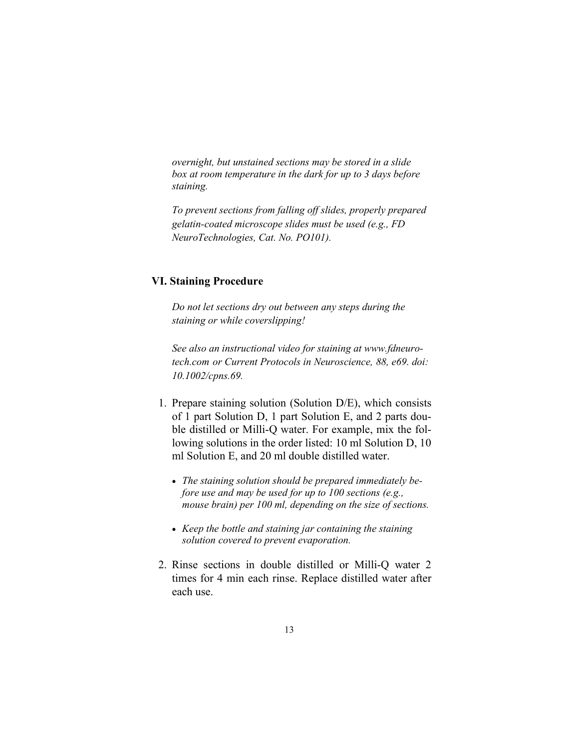overnight, but unstained sections may be stored in a slide box at room temperature in the dark for up to 3 days before staining.

 To prevent sections from falling off slides, properly prepared gelatin-coated microscope slides must be used (e.g., FD NeuroTechnologies, Cat. No. PO101).

## VI. Staining Procedure

Do not let sections dry out between any steps during the staining or while coverslipping!

 See also an instructional video for staining at www.fdneuro tech.com or Current Protocols in Neuroscience, 88, e69. doi: 10.1002/cpns.69.

- 1. Prepare staining solution (Solution D/E), which consists of 1 part Solution D, 1 part Solution E, and 2 parts double distilled or Milli-Q water. For example, mix the following solutions in the order listed: 10 ml Solution D, 10 ml Solution E, and 20 ml double distilled water.
	- The staining solution should be prepared immediately before use and may be used for up to 100 sections (e.g., mouse brain) per 100 ml, depending on the size of sections.
	- Keep the bottle and staining jar containing the staining solution covered to prevent evaporation.
- 2. Rinse sections in double distilled or Milli-Q water 2 times for 4 min each rinse. Replace distilled water after each use.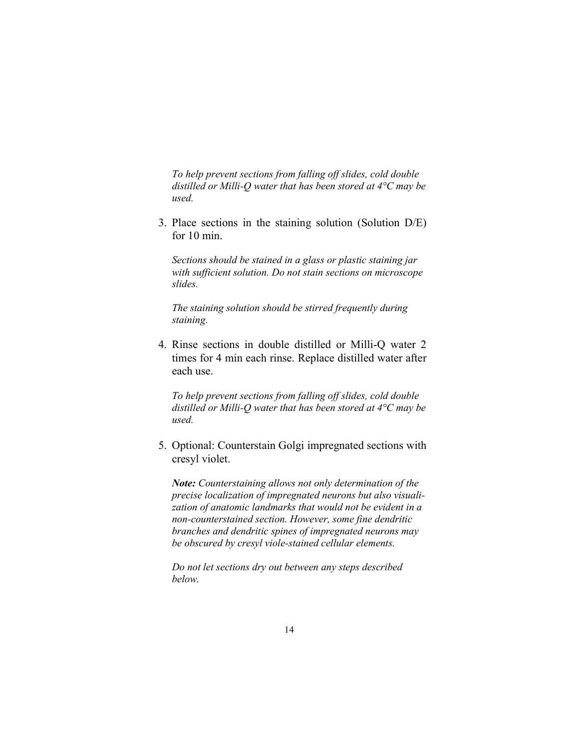To help prevent sections from falling off slides, cold double distilled or Milli-Q water that has been stored at  $4^{\circ}C$  may be used.

3. Place sections in the staining solution (Solution D/E) for 10 min.

Sections should be stained in a glass or plastic staining jar with sufficient solution. Do not stain sections on microscope slides.

 The staining solution should be stirred frequently during staining.

4. Rinse sections in double distilled or Milli-Q water 2 times for 4 min each rinse. Replace distilled water after each use.

To help prevent sections from falling off slides, cold double distilled or Milli-Q water that has been stored at  $4^{\circ}C$  may be used.

5. Optional: Counterstain Golgi impregnated sections with cresyl violet.

Note: Counterstaining allows not only determination of the precise localization of impregnated neurons but also visuali zation of anatomic landmarks that would not be evident in a non-counterstained section. However, some fine dendritic branches and dendritic spines of impregnated neurons may be obscured by cresyl viole-stained cellular elements.

 Do not let sections dry out between any steps described below.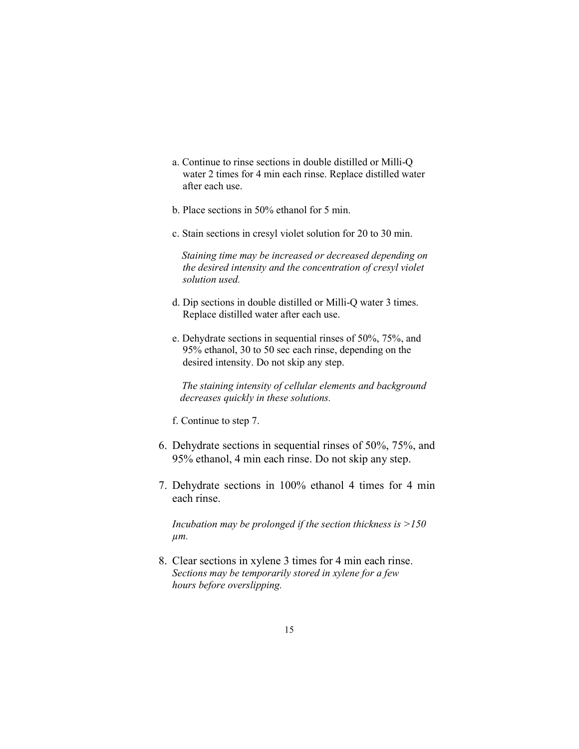- a. Continue to rinse sections in double distilled or Milli-Q water 2 times for 4 min each rinse. Replace distilled water after each use.
- b. Place sections in 50% ethanol for 5 min.
- c. Stain sections in cresyl violet solution for 20 to 30 min.

 Staining time may be increased or decreased depending on the desired intensity and the concentration of cresyl violet solution used.

- d. Dip sections in double distilled or Milli-Q water 3 times. Replace distilled water after each use.
- e. Dehydrate sections in sequential rinses of 50%, 75%, and 95% ethanol, 30 to 50 sec each rinse, depending on the desired intensity. Do not skip any step.

 The staining intensity of cellular elements and background decreases quickly in these solutions.

f. Continue to step 7.

- 6. Dehydrate sections in sequential rinses of 50%, 75%, and 95% ethanol, 4 min each rinse. Do not skip any step.
- 7. Dehydrate sections in 100% ethanol 4 times for 4 min each rinse.

Incubation may be prolonged if the section thickness is  $>150$  $\mu$ m.

8. Clear sections in xylene 3 times for 4 min each rinse. Sections may be temporarily stored in xylene for a few hours before overslipping.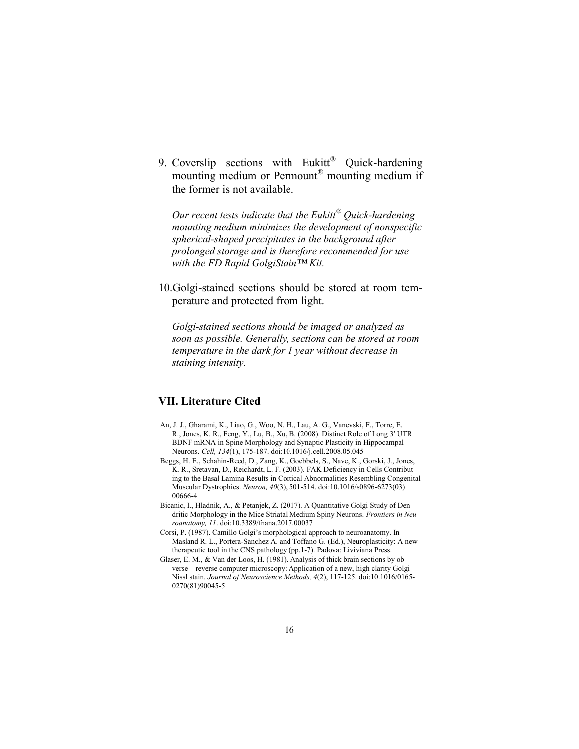9. Coverslip sections with Eukitt® Quick-hardening mounting medium or Permount<sup>®</sup> mounting medium if the former is not available.

Our recent tests indicate that the Eukitt<sup>®</sup> Quick-hardening mounting medium minimizes the development of nonspecific spherical-shaped precipitates in the background after prolonged storage and is therefore recommended for use with the FD Rapid GolgiStain™ Kit.

10.Golgi-stained sections should be stored at room temperature and protected from light.

 Golgi-stained sections should be imaged or analyzed as soon as possible. Generally, sections can be stored at room temperature in the dark for 1 year without decrease in staining intensity.

## VII. Literature Cited

- An, J. J., Gharami, K., Liao, G., Woo, N. H., Lau, A. G., Vanevski, F., Torre, E. R., Jones, K. R., Feng, Y., Lu, B., Xu, B. (2008). Distinct Role of Long 3′ UTR BDNF mRNA in Spine Morphology and Synaptic Plasticity in Hippocampal Neurons. Cell, 134(1), 175-187. doi:10.1016/j.cell.2008.05.045
- Beggs, H. E., Schahin-Reed, D., Zang, K., Goebbels, S., Nave, K., Gorski, J., Jones, K. R., Sretavan, D., Reichardt, L. F. (2003). FAK Deficiency in Cells Contribut ing to the Basal Lamina Results in Cortical Abnormalities Resembling Congenital Muscular Dystrophies. Neuron, 40(3), 501-514. doi:10.1016/s0896-6273(03) 00666-4
- Bicanic, I., Hladnik, A., & Petanjek, Z. (2017). A Quantitative Golgi Study of Den dritic Morphology in the Mice Striatal Medium Spiny Neurons. Frontiers in Neu roanatomy, 11. doi:10.3389/fnana.2017.00037
- Corsi, P. (1987). Camillo Golgi's morphological approach to neuroanatomy. In Masland R. L., Portera-Sanchez A. and Toffano G. (Ed.), Neuroplasticity: A new therapeutic tool in the CNS pathology (pp.1-7). Padova: Liviviana Press.
- Glaser, E. M., & Van der Loos, H. (1981). Analysis of thick brain sections by ob verse––reverse computer microscopy: Application of a new, high clarity Golgi— Nissl stain. Journal of Neuroscience Methods, 4(2), 117-125. doi:10.1016/0165- 0270(81)90045-5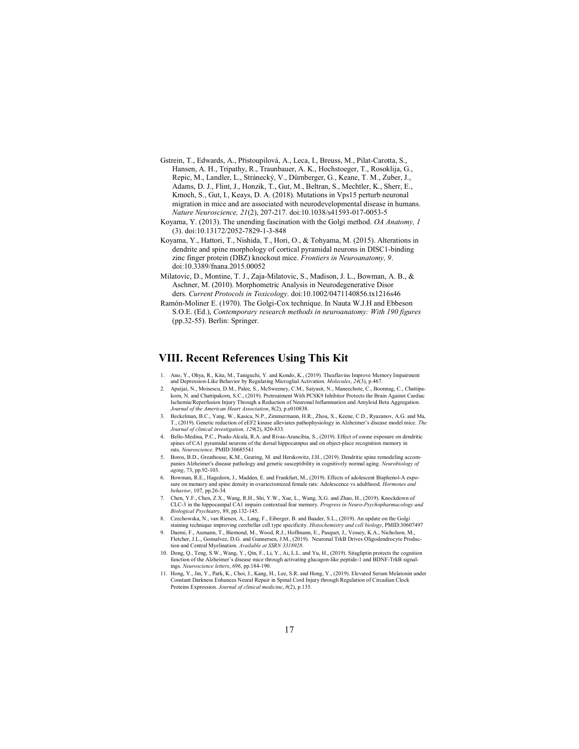- Gstrein, T., Edwards, A., Přistoupilová, A., Leca, I., Breuss, M., Pilat-Carotta, S., Hansen, A. H., Tripathy, R., Traunbauer, A. K., Hochstoeger, T., Rosoklija, G., Repic, M., Landler, L., Stránecký, V., Dürnberger, G., Keane, T. M., Zuber, J., Adams, D. J., Flint, J., Honzik, T., Gut, M., Beltran, S., Mechtler, K., Sherr, E., Kmoch, S., Gut, I., Keays, D. A. (2018). Mutations in Vps15 perturb neuronal migration in mice and are associated with neurodevelopmental disease in humans. Nature Neuroscience, 21(2), 207-217. doi:10.1038/s41593-017-0053-5
- Koyama, Y. (2013). The unending fascination with the Golgi method. OA Anatomy, 1 (3). doi:10.13172/2052-7829-1-3-848
- Koyama, Y., Hattori, T., Nishida, T., Hori, O., & Tohyama, M. (2015). Alterations in dendrite and spine morphology of cortical pyramidal neurons in DISC1-binding zinc finger protein (DBZ) knockout mice. Frontiers in Neuroanatomy, 9. doi:10.3389/fnana.2015.00052
- Milatovic, D., Montine, T. J., Zaja-Milatovic, S., Madison, J. L., Bowman, A. B., & Aschner, M. (2010). Morphometric Analysis in Neurodegenerative Disor ders. Current Protocols in Toxicology. doi:10.1002/0471140856.tx1216s46
- Ramón-Moliner E. (1970). The Golgi-Cox technique. In Nauta W.J.H and Ebbeson S.O.E. (Ed.), Contemporary research methods in neuroanatomy: With 190 figures (pp.32-55). Berlin: Springer.

#### VIII. Recent References Using This Kit

- 1. Ano, Y., Ohya, R., Kita, M., Taniguchi, Y. and Kondo, K., (2019). Theaflavins Improve Memory Impairment and Depression-Like Behavior by Regulating Microglial Activation. Molecules, 24(3), p.467.
- 2. Apaijai, N., Moisescu, D.M., Palee, S., McSweeney, C.M., Saiyasit, N., Maneechote, C., Boonnag, C., Chattipa-korn, N. and Chattipakorn, S.C., (2019). Pretreatment With PCSK9 Inhibitor Protects the Brain Against Cardiac Ischemia/Reperfusion Injury Through a Reduction of Neuronal Inflammation and Amyloid Beta Aggregation. Journal of the American Heart Association, 8(2), p.e010838.
- 3. Beckelman, B.C., Yang, W., Kasica, N.P., Zimmermann, H.R., Zhou, X., Keene, C.D., Ryazanov, A.G. and Ma, T., (2019). Genetic reduction of eEF2 kinase alleviates pathophysiology in Alzheimer's disease model mice. The rnal of clinical investigation, 129(2), 820-833.
- 4. Bello-Medina, P.C., Prado-Alcalá, R.A. and Rivas-Arancibia, S., (2019). Effect of ozone exposure on dendritic spines of CA1 pyramidal neurons of the dorsal hippocampus and on object-place recognition memory in rats. Neuroscience. PMID:30685541
- 5. Boros, B.D., Greathouse, K.M., Gearing, M. and Herskowitz, J.H., (2019). Dendritic spine remodeling accompanies Alzheimer's disease pathology and genetic susceptibility in cognitively normal aging. Neurobiology of aging, 73, pp.92-103.
- 6. Bowman, R.E., Hagedorn, J., Madden, E. and Frankfurt, M., (2019). Effects of adolescent Bisphenol-A exposure on memory and spine density in ovariectomized female rats: Adolescence vs adulthood. Hormones and behavior, 107, pp.26-34.
- 7. Chen, Y.F., Chen, Z.X., Wang, R.H., Shi, Y.W., Xue, L., Wang, X.G. and Zhao, H., (2019). Knockdown of CLC-3 in the hippocampal CA1 impairs contextual fear memory. Progress in Neuro-Psychopharmacology and Biological Psychiatry, 89, pp.132-145.
- 8. Czechowska, N., van Rienen, A., Lang, F., Eiberger, B. and Baader, S.L., (2019). An update on the Golgi staining technique improving cerebellar cell type specificity. Histochemistry and cell biology, PMID:30607497<br>9. Daemi, F., Aumann, T., Biemond, M., Wood, R.J., Hoffmann, E., Pasquet, J., Vessey, K.A., Nicholson, M.,
- Fletcher, J.L., Gonsalvez, D.G. and Gunnersen, J.M., (2019). Neuronal TrkB Drives Oligodendrocyte Produc tion and Central Myelination. Available at SSRN 3318928.
- 10. Dong, Q., Teng, S.W., Wang, Y., Qin, F., Li, Y., Ai, L.L. and Yu, H., (2019). Sitagliptin protects the cognition function of the Alzheimer's disease mice through activating glucagon-like peptide-1 and BDNF-TrkB signalings. Neuroscience letters, 696, pp.184-190.
- 11. Hong, Y., Jin, Y., Park, K., Choi, J., Kang, H., Lee, S.R. and Hong, Y., (2019). Elevated Serum Melatonin under Constant Darkness Enhances Neural Repair in Spinal Cord Injury through Regulation of Circadian Clock<br>Proteins Expression. Journal of clinical medicine, 8(2), p.135.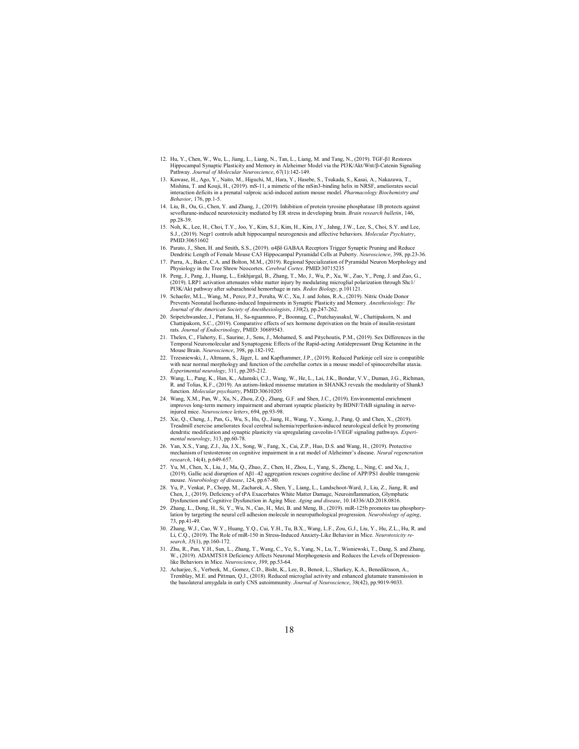- 12. Hu, Y., Chen, W., Wu, L., Jiang, L., Liang, N., Tan, L., Liang, M. and Tang, N., (2019). TGF-β1 Restores<br>Hippocampal Synaptic Plasticity and Memory in Alzheimer Model via the PI3K/Akt/Wnt/β-Catenin Signaling Pathway. Journal of Molecular Neuroscience, 67(1):142-149.
- 13. Kawase, H., Ago, Y., Naito, M., Higuchi, M., Hara, Y., Hasebe, S., Tsukada, S., Kasai, A., Nakazawa, T., Mishina, T. and Kouji, H., (2019). mS-11, a mimetic of the mSin3-binding helix in NRSF, ameliorates social interaction deficits in a prenatal valproic acid-induced autism mouse model. *Pharmacology Biochemistry and* Behavior, 176, pp.1-5.
- 14. Liu, B., Ou, G., Chen, Y. and Zhang, J., (2019). Inhibition of protein tyrosine phosphatase 1B protects against sevoflurane-induced neurotoxicity mediated by ER stress in developing brain. Brain research bulletin, 146, pp.28-39.
- 15. Noh, K., Lee, H., Choi, T.Y., Joo, Y., Kim, S.J., Kim, H., Kim, J.Y., Jahng, J.W., Lee, S., Choi, S.Y. and Lee, S.J., (2019). Negr1 controls adult hippocampal neurogenesis and affective behaviors. Molecular Psychiatry, PMID:30651602
- 16. Parato, J., Shen, H. and Smith, S.S., (2019). α4βδ GABAA Receptors Trigger Synaptic Pruning and Reduce Dendritic Length of Female Mouse CA3 Hippocampal Pyramidal Cells at Puberty. Neuroscience, 398, pp.23-36.
- 17. Parra, A., Baker, C.A. and Bolton, M.M., (2019). Regional Specialization of Pyramidal Neuron Morphology and Physiology in the Tree Shrew Neocortex. Cerebral Cortex. PMID:30715235
- 18. Peng, J., Pang, J., Huang, L., Enkhjargal, B., Zhang, T., Mo, J., Wu, P., Xu, W., Zuo, Y., Peng, J. and Zuo, G., (2019). LRP1 activation attenuates white matter injury by modulating microglial polarization through Shc1/ PI3K/Akt pathway after subarachnoid hemorrhage in rats. Redox Biology, p.101121.
- 19. Schaefer, M.L., Wang, M., Perez, P.J., Peralta, W.C., Xu, J. and Johns, R.A., (2019). Nitric Oxide Donor Prevents Neonatal Isoflurane-induced Impairments in Synaptic Plasticity and Memory. Anesthesiology: The Journal of the American Society of Anesthesiologists, 130(2), pp.247-262.
- 20. Sripetchwandee, J., Pintana, H., Sa-nguanmoo, P., Boonnag, C., Pratchayasakul, W., Chattipakorn, N. and Chattipakorn, S.C., (2019). Comparative effects of sex hormone deprivation on the brain of insulin-resistant rating and the state of Endocrinology, PMID: 30689543.
- 21. Thelen, C., Flaherty, E., Saurine, J., Sens, J., Mohamed, S. and Pitychoutis, P.M., (2019). Sex Differences in the Temporal Neuromolecular and Synaptogenic Effects of the Rapid-acting Antidepressant Drug Ketamine in the Mouse Brain. Neuroscience, 398, pp.182-192.
- 22. Trzesniewski, J., Altmann, S., Jäger, L. and Kapfhammer, J.P., (2019). Reduced Purkinje cell size is compatible with near normal morphology and function of the cerebellar cortex in a mouse model of spinocerebellar ataxia. Experimental neurology, 311, pp.205-212.
- 23. Wang, L., Pang, K., Han, K., Adamski, C.J., Wang, W., He, L., Lai, J.K., Bondar, V.V., Duman, J.G., Richman, R. and Tolias, K.F., (2019). An autism-linked missense mutation in SHANK3 reveals the modularity of Shank3 function. Molecular psychiatry, PMID:30610205
- 24. Wang, X.M., Pan, W., Xu, N., Zhou, Z.Q., Zhang, G.F. and Shen, J.C., (2019). Environmental enrichment improves long-term memory impairment and aberrant synaptic plasticity by BDNF/TrkB signaling in nerveinjured mice. Neuroscience letters, 694, pp.93-98.
- 25. Xie, Q., Cheng, J., Pan, G., Wu, S., Hu, Q., Jiang, H., Wang, Y., Xiong, J., Pang, Q. and Chen, X., (2019). Treadmill exercise ameliorates focal cerebral ischemia/reperfusion-induced neurological deficit by promoting<br>dendritic modification and synaptic plasticity via upregulating caveolin-1/VEGF signaling pathways. *Experi*mental neurology, 313, pp.60-78.
- 26. Yan, X.S., Yang, Z.J., Jia, J.X., Song, W., Fang, X., Cai, Z.P., Huo, D.S. and Wang, H., (2019). Protective mechanism of testosterone on cognitive impairment in a rat model of Alzheimer's disease. Neural regeneration research, 14(4), p.649-657.
- 27. Yu, M., Chen, X., Liu, J., Ma, Q., Zhuo, Z., Chen, H., Zhou, L., Yang, S., Zheng, L., Ning, C. and Xu, J., (2019). Gallic acid disruption of Aβ1–42 aggregation rescues cognitive decline of APP/PS1 double transgenic mouse. Neurobiology of disease, 124, pp.67-80.
- 28. Yu, P., Venkat, P., Chopp, M., Zacharek, A., Shen, Y., Liang, L., Landschoot-Ward, J., Liu, Z., Jiang, R. and Chen, J., (2019). Deficiency of tPA Exacerbates White Matter Damage, Neuroinflammation, Glymphatic Dysfunction and Cognitive Dysfunction in Aging Mice. Aging and disease, 10.14336/AD.2018.0816.
- 29. Zhang, L., Dong, H., Si, Y., Wu, N., Cao, H., Mei, B. and Meng, B., (2019). miR-125b promotes tau phosphorylation by targeting the neural cell adhesion molecule in neuropathological progression. Neurobiology of aging, 73, pp.41-49.
- 30. Zhang, W.J., Cao, W.Y., Huang, Y.Q., Cui, Y.H., Tu, B.X., Wang, L.F., Zou, G.J., Liu, Y., Hu, Z.L., Hu, R. and Li, C.Q., (2019). The Role of miR-150 in Stress-Induced Anxiety-Like Behavior in Mice. Neurotoxicity research, 35(1), pp.160-172.
- 31. Zhu, R., Pan, Y.H., Sun, L., Zhang, T., Wang, C., Ye, S., Yang, N., Lu, T., Wisniewski, T., Dang, S. and Zhang, W., (2019). ADAMTS18 Deficiency Affects Neuronal Morphogenesis and Reduces the Levels of Depression-<br>like Behaviors in Mice. *Neuroscience*, 399, pp.53-64.
- 32. Acharjee, S., Verbeek, M., Gomez, C.D., Bisht, K., Lee, B., Benoit, L., Sharkey, K.A., Benediktsson, A., Tremblay, M.E. and Pittman, Q.J., (2018). Reduced microglial activity and enhanced glutamate transmission in the basolateral amygdala in early CNS autoimmunity. Journal of Neuroscience, 38(42), pp.9019-9033.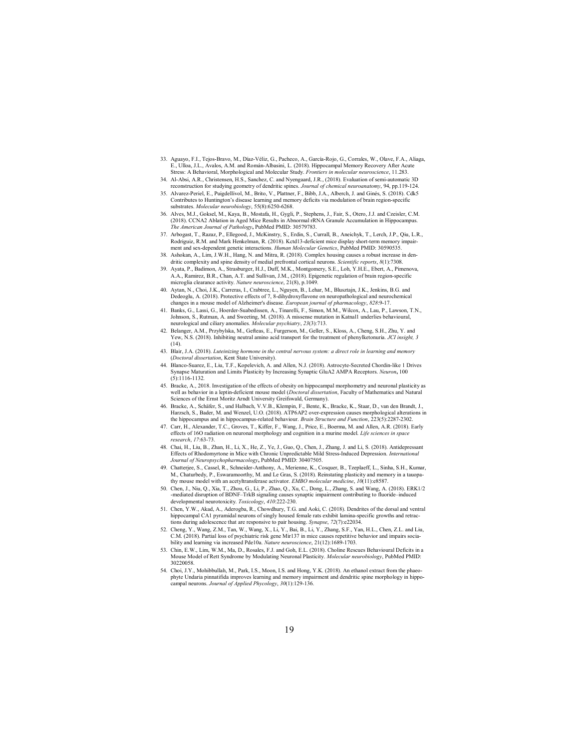- 33. Aguayo, F.I., Tejos-Bravo, M., Díaz-Véliz, G., Pacheco, A., García-Rojo, G., Corrales, W., Olave, F.A., Aliaga, E., Ulloa, J.L., Avalos, A.M. and Román-Albasini, L. (2018). Hippocampal Memory Recovery After Acute Stress: A Behavioral, Morphological and Molecular Study. Frontiers in molecular neuroscience, 11.283.
- 34. Al-Absi, A.R., Christensen, H.S., Sanchez, C. and Nyengaard, J.R., (2018). Evaluation of semi-automatic 3D reconstruction for studying geometry of dendritic spines. Journal of chemical neuroanatomy, 94, pp.119-124.
- 35. Alvarez-Periel, E., Puigdellívol, M., Brito, V., Plattner, F., Bibb, J.A., Alberch, J. and Ginés, S. (2018). Cdk5 Contributes to Huntington's disease learning and memory deficits via modulation of brain region-specific substrates. Molecular neurobiology, 55(8):6250-6268.
- 36. Alves, M.J., Goksel, M., Kaya, B., Mostafa, H., Gygli, P., Stephens, J., Fair, S., Otero, J.J. and Czeisler, C.M. (2018). CCNA2 Ablation in Aged Mice Results in Abnormal rRNA Granule Accumulation in Hippocampus.<br>The American Journal of Pathology, PubMed PMID: 30579783.
- 37. Arbogast, T., Razaz, P., Ellegood, J., McKinstry, S., Erdin, S., Currall, B., Aneichyk, T., Lerch, J.P., Qiu, L.R., Rodriguiz, R.M. and Mark Henkelman, R. (2018). Kctd13-deficient mice display short-term memory impair-<br>ment and sex-dependent genetic interactions. Human Molecular Genetics, PubMed PMID: 30590535.
- 38. Ashokan, A., Lim, J.W.H., Hang, N. and Mitra, R. (2018). Complex housing causes a robust increase in dendritic complexity and spine density of medial prefrontal cortical neurons. Scientific reports, 8(1):7308
- 39. Ayata, P., Badimon, A., Strasburger, H.J., Duff, M.K., Montgomery, S.E., Loh, Y.H.E., Ebert, A., Pimenova, A.A., Ramirez, B.R., Chan, A.T. and Sullivan, J.M., (2018). Epigenetic regulation of brain region-specific microglia clearance activity. Nature neuroscience, 21(8), p.1049.
- 40. Aytan, N., Choi, J.K., Carreras, I., Crabtree, L., Nguyen, B., Lehar, M., Blusztajn, J.K., Jenkins, B.G. and Dedeoglu, A. (2018). Protective effects of 7, 8-dihydroxyflavone on neuropathological and neurochemical changes in a mouse model of Alzheimer's disease. European journal of pharmacology, 828:9-17.
- 41. Banks, G., Lassi, G., Hoerder-Suabedissen, A., Tinarelli, F., Simon, M.M., Wilcox, A., Lau, P., Lawson, T.N., Johnson, S., Rutman, A. and Sweeting, M. (2018). A missense mutation in Katnal1 underlies behavioural, neurological and ciliary anomalies. Molecular psychiatry, 23(3):713.
- 42. Belanger, A.M., Przybylska, M., Gefteas, E., Furgerson, M., Geller, S., Kloss, A., Cheng, S.H., Zhu, Y. and Yew, N.S. (2018). Inhibiting neutral amino acid transport for the treatment of phenylketonuria. JCI insight, 3 (14).
- 43. Blair, J.A. (2018). Luteinizing hormone in the central nervous system: a direct role in learning and memory (Doctoral dissertation, Kent State University).
- 44. Blanco-Suarez, E., Liu, T.F., Kopelevich, A. and Allen, N.J. (2018). Astrocyte-Secreted Chordin-like 1 Drives Synapse Maturation and Limits Plasticity by Increasing Synaptic GluA2 AMPA Receptors. Neuron, 100  $(5) \cdot 1116 - 1132$
- 45. Bracke, A., 2018. Investigation of the effects of obesity on hippocampal morphometry and neuronal plasticity as well as behavior in a leptin-deficient mouse model (*Doctoral dissertation*, Faculty of Mathematics and Natural Sciences of the Ernst Moritz Arndt University Greifswald, Germany).
- 46. Bracke, A., Schäfer, S., und Halbach, V.V.B., Klempin, F., Bente, K., Bracke, K., Staar, D., van den Brandt, J., Harzsch, S., Bader, M. and Wenzel, U.O. (2018). ATP6AP2 over-expression causes morphological alterations in the hippocampus and in hippocampus-related behaviour. *Brain Structure and Function*, 223(5):2287-2302.
- 47. Carr, H., Alexander, T.C., Groves, T., Kiffer, F., Wang, J., Price, E., Boerma, M. and Allen, A.R. (2018). Early effects of 16O radiation on neuronal morphology and cognition in a murine model. Life sciences in space research, 17:63-73.
- 48. Chai, H., Liu, B., Zhan, H., Li, X., He, Z., Ye, J., Guo, Q., Chen, J., Zhang, J. and Li, S. (2018). Antidepressant Effects of Rhodomyrtone in Mice with Chronic Unpredictable Mild Stress-Induced Depression. International Journal of Neuropsychopharmacology, PubMed PMID: 30407505.
- 49. Chatterjee, S., Cassel, R., Schneider‐Anthony, A., Merienne, K., Cosquer, B., Tzeplaeff, L., Sinha, S.H., Kumar, M., Chaturbedy, P., Eswaramoorthy, M. and Le Gras, S. (2018). Reinstating plasticity and memory in a tauopathy mouse model with an acetyltransferase activator. EMBO molecular medicine, 10(11):e8587.
- 50. Chen, J., Niu, Q., Xia, T., Zhou, G., Li, P., Zhao, Q., Xu, C., Dong, L., Zhang, S. and Wang, A. (2018). ERK1/2 -mediated disruption of BDNF–TrkB signaling causes synaptic impairment contributing to fluoride–induced developmental neurotoxicity. Toxicology, 410:222-230.
- 51. Chen, Y.W., Akad, A., Aderogba, R., Chowdhury, T.G. and Aoki, C. (2018). Dendrites of the dorsal and ventral hippocampal CA1 pyramidal neurons of singly housed female rats exhibit lamina-specific growths and retractions during adolescence that are responsive to pair housing. Synapse, 72(7):e22034.<br>52. Cheng. Y., Wang, Z.M., Tan, W., Wang, X., Li, Y., Bai, B., Li, Y., Zhang, S.F., Yan
- 52. Cheng, Y., Wang, Z.M., Tan, W., Wang, X., Li, Y., Bai, B., Li, Y., Zhang, S.F., Yan, H.L., Chen, Z.L. and Liu, C.M. (2018). Partial loss of psychiatric risk gene Mir137 in mice causes repetitive behavior and impairs sociability and learning via increased Pde10a. Nature neuroscience, 21(12):1689-1703.
- 53. Chin, E.W., Lim, W.M., Ma, D., Rosales, F.J. and Goh, E.L. (2018). Choline Rescues Behavioural Deficits in a Mouse Model of Rett Syndrome by Modulating Neuronal Plasticity. Molecular neurobiology, PubMed PMID: 30220058.
- 54. Choi, J.Y., Mohibbullah, M., Park, I.S., Moon, I.S. and Hong, Y.K. (2018). An ethanol extract from the phaeophyte Undaria pinnatifida improves learning and memory impairment and dendritic spine morphology in hippocampal neurons. Journal of Applied Phycology, 30(1):129-136.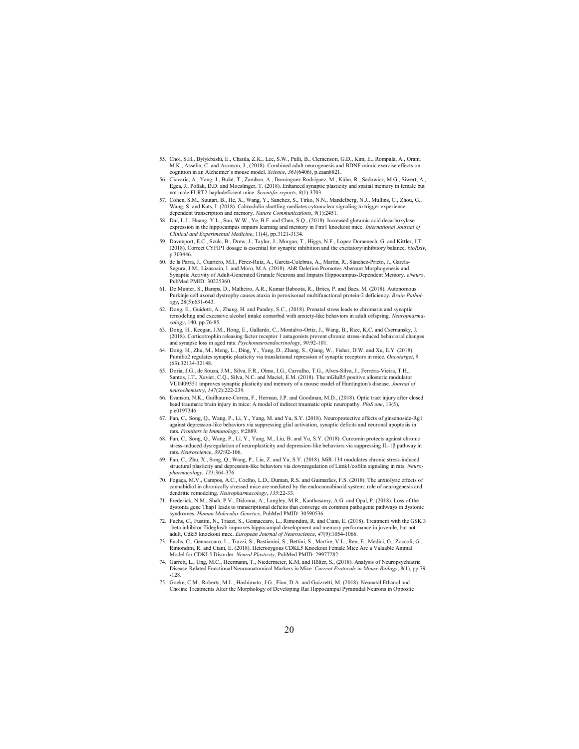- 55. Choi, S.H., Bylykbashi, E., Chatila, Z.K., Lee, S.W., Pulli, B., Clemenson, G.D., Kim, E., Rompala, A., Oram, M.K., Asselin, C. and Aronson, J., (2018). Combined adult neurogenesis and BDNF mimic exercise effects on cognition in an Alzheimer's mouse model. Science, 361(6406), p.eaan8821.
- 56. Cicvaric, A., Yang, J., Bulat, T., Zambon, A., Dominguez-Rodriguez, M., Kühn, R., Sadowicz, M.G., Siwert, A., Egea, J., Pollak, D.D. and Moeslinger, T. (2018). Enhanced synaptic plasticity and spatial memory in female but<br>not male FLRT2-haplodeficient mice. Scientific reports, 8(1):3703.
- 57. Cohen, S.M., Suutari, B., He, X., Wang, Y., Sanchez, S., Tirko, N.N., Mandelberg, N.J., Mullins, C., Zhou, G., Wang, S. and Kats, I. (2018). Calmodulin shuttling mediates cytonuclear signaling to trigger experiencedependent transcription and memory. Nature Communications, 9(1):2451.
- 58. Dai, L.J., Huang, Y.L., Sun, W.W., Ye, B.F. and Chen, S.Q., (2018). Increased glutamic acid decarboxylase expression in the hippocampus impairs learning and memory in Fmr1 knockout mice. International Journal of Clinical and Experimental Medicine, 11(4), pp.3121-3134.
- 59. Davenport, E.C., Szulc, B., Drew, J., Taylor, J., Morgan, T., Higgs, N.F., Lopez-Domenech, G. and Kittler, J.T. (2018). Correct CYFIP1 dosage is essential for synaptic inhibition and the excitatory/inhibitory balance. p.303446.
- 60. de la Parra, J., Cuartero, M.I., Pérez-Ruiz, A., García-Culebras, A., Martín, R., Sánchez-Prieto, J., García-Segura, J.M., Lizasoain, I. and Moro, M.A. (2018). AhR Deletion Promotes Aberrant Morphogenesis and Synaptic Activity of Adult-Generated Granule Neurons and Impairs Hippocampus-Dependent Memory. eNeuro, PubMed PMID: 30225360.
- 61. De Munter, S., Bamps, D., Malheiro, A.R., Kumar Baboota, R., Brites, P. and Baes, M. (2018). Autonomous Purkinje cell axonal dystrophy causes ataxia in peroxisomal multifunctional protein‐2 deficiency. Brain Pathology, 28(5):631-643.
- 62. Dong, E., Guidotti, A., Zhang, H. and Pandey, S.C., (2018). Prenatal stress leads to chromatin and synaptic remodeling and excessive alcohol intake comorbid with anxiety-like behaviors in adult offspring. Neuropharma-<br>cology, 140, pp.76-85.
- 63. Dong, H., Keegan, J.M., Hong, E., Gallardo, C., Montalvo-Ortiz, J., Wang, B., Rice, K.C. and Csernansky, J. (2018). Corticotrophin releasing factor receptor 1 antagonists prevent chronic stress-induced behavioral changes<br>and synapse loss in aged rats. Psychoneuroendocrinology, 90:92-101.
- 64. Dong, H., Zhu, M., Meng, L., Ding, Y., Yang, D., Zhang, S., Qiang, W., Fisher, D.W. and Xu, E.Y. (2018). ilio2 regulates synaptic plasticity via translational repression of synaptic receptors in mice. Oncotarget, 9 (63):32134-32148.
- 65. Doria, J.G., de Souza, J.M., Silva, F.R., Olmo, I.G., Carvalho, T.G., Alves‐Silva, J., Ferreira‐Vieira, T.H., Santos, J.T., Xavier, C.Q., Silva, N.C. and Maciel, E.M. (2018). The mGluR5 positive allosteric modulator VU0409551 improves synaptic plasticity and memory of a mouse model of Huntington's disease. Journal of<br>neurochemistry, 147(2):222-239.
- 66. Evanson, N.K., Guilhaume-Correa, F., Herman, J.P. and Goodman, M.D., (2018). Optic tract injury after closed head traumatic brain injury in mice: A model of indirect traumatic optic neuropathy. PloS one, 13(5), p.e0197346.
- 67. Fan, C., Song, Q., Wang, P., Li, Y., Yang, M. and Yu, S.Y. (2018). Neuroprotective effects of ginsenoside-Rg1 against depression-like behaviors via suppressing glial activation, synaptic deficits and neuronal apoptosis in rats. Frontiers in Immunology, 9:2889.
- 68. Fan, C., Song, Q., Wang, P., Li, Y., Yang, M., Liu, B. and Yu, S.Y. (2018). Curcumin protects against chronic stress-induced dysregulation of neuroplasticity and depression-like behaviors via suppressing IL-1β pathway in rats. Neuroscience, 392:92-106.
- 69. Fan, C., Zhu, X., Song, Q., Wang, P., Liu, Z. and Yu, S.Y. (2018). MiR-134 modulates chronic stress-induced structural plasticity and depression-like behaviors via downregulation of Limk1/cofilin signaling in rats. Neuropharmacology, 131:364-376.
- 70. Fogaça, M.V., Campos, A.C., Coelho, L.D., Duman, R.S. and Guimarães, F.S. (2018). The anxiolytic effects of abidiol in chronically stressed mice are mediated by the endocannabinoid system: role of neurogenesis and dendritic remodeling. Neuropharmacology, 135:22-33.
- 71. Frederick, N.M., Shah, P.V., Didonna, A., Langley, M.R., Kanthasamy, A.G. and Opal, P. (2018). Loss of the dystonia gene Thap1 leads to transcriptional deficits that converge on common pathogenic pathways in dystonic syndromes. Human Molecular Genetics, PubMed PMID: 30590536.
- 72. Fuchs, C., Fustini, N., Trazzi, S., Gennaccaro, L., Rimondini, R. and Ciani, E. (2018). Treatment with the GSK 3 -beta inhibitor Tideglusib improves hippocampal development and memory performance in juvenile, but not<br>adult, Cdkl5 knockout mice. *European Journal of Neuroscience, 47*(9):1054-1066.
- 73. Fuchs, C., Gennaccaro, L., Trazzi, S., Bastianini, S., Bettini, S., Martire, V.L., Ren, E., Medici, G., Zoccoli, G., Rimondini, R. and Ciani, E. (2018). Heterozygous CDKL5 Knockout Female Mice Are a Valuable Animal Model for CDKL5 Disorder. Neural Plasticity, PubMed PMID: 29977282.
- 74. Garrett, L., Ung, M.C., Heermann, T., Niedermeier, K.M. and Hölter, S., (2018). Analysis of Neuropsychiatric Disease‐Related Functional Neuroanatomical Markers in Mice. Current Protocols in Mouse Biology, 8(1), pp.79 -128.
- 75. Goeke, C.M., Roberts, M.L., Hashimoto, J.G., Finn, D.A. and Guizzetti, M. (2018). Neonatal Ethanol and Choline Treatments Alter the Morphology of Developing Rat Hippocampal Pyramidal Neurons in Opposite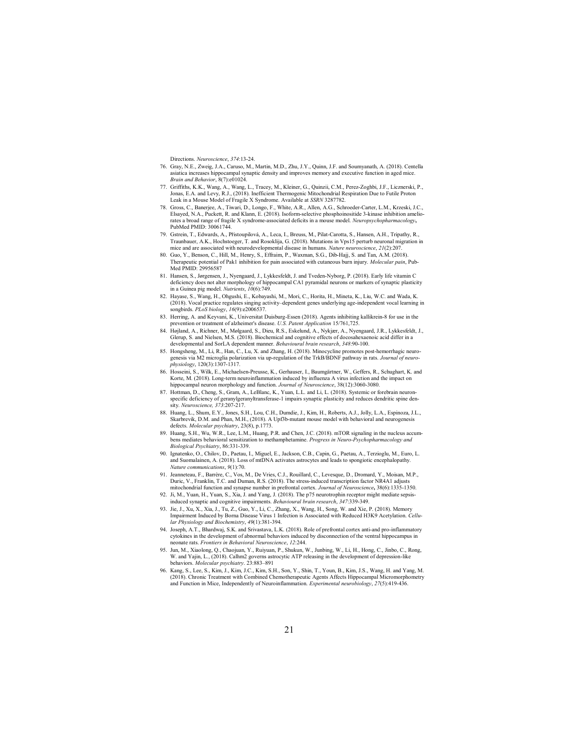Directions. Neuroscience, 374:13-24.

- 76. Gray, N.E., Zweig, J.A., Caruso, M., Martin, M.D., Zhu, J.Y., Quinn, J.F. and Soumyanath, A. (2018). Centella asiatica increases hippocampal synaptic density and improves memory and executive function in aged mice. Brain and Behavior, 8(7):e01024.
- 77. Griffiths, K.K., Wang, A., Wang, L., Tracey, M., Kleiner, G., Quinzii, C.M., Perez-Zoghbi, J.F., Licznerski, P., Jonas, E.A. and Levy, R.J., (2018). Inefficient Thermogenic Mitochondrial Respiration Due to Futile Proton Leak in a Mouse Model of Fragile X Syndrome. Available at SSRN 3287782.
- 78. Gross, C., Banerjee, A., Tiwari, D., Longo, F., White, A.R., Allen, A.G., Schroeder-Carter, L.M., Krzeski, J.C., Elsayed, N.A., Puckett, R. and Klann, E. (2018). Isoform-selective phosphoinositide 3-kinase inhibition ameliorates a broad range of fragile X syndrome-associated deficits in a mouse model. *Neuropsychopharmacology*,<br>PubMed PMID: 30061744.
- 79. Gstrein, T., Edwards, A., Přistoupilová, A., Leca, I., Breuss, M., Pilat-Carotta, S., Hansen, A.H., Tripathy, R., Traunbauer, A.K., Hochstoeger, T. and Rosoklija, G. (2018). Mutations in Vps15 perturb neuronal migration in mice and are associated with neurodevelopmental disease in humans. Nature neuroscience, 21(2):207.
- 80. Guo, Y., Benson, C., Hill, M., Henry, S., Effraim, P., Waxman, S.G., Dib-Hajj, S. and Tan, A.M. (2018). Therapeutic potential of Pak1 inhibition for pain associated with cutaneous burn injury. Molecular pain, Pub-Med PMID: 29956587
- 81. Hansen, S., Jørgensen, J., Nyengaard, J., Lykkesfeldt, J. and Tveden-Nyborg, P. (2018). Early life vitamin C deficiency does not alter morphology of hippocampal CA1 pyramidal neurons or markers of synaptic plasticity in a Guinea pig model. Nutrients, 10(6):749.
- 82. Hayase, S., Wang, H., Ohgushi, E., Kobayashi, M., Mori, C., Horita, H., Mineta, K., Liu, W.C. and Wada, K. (2018). Vocal practice regulates singing activity–dependent genes underlying age-independent vocal learning in ongbirds.  $PLoS$  biology,  $16(9)$ :e2006537.
- 83. Herring, A. and Keyvani, K., Universitat Duisburg-Essen (2018). Agents inhibiting kallikrein-8 for use in the prevention or treatment of alzheimer's disease. U.S. Patent Application 15/761,725.
- 84. Højland, A., Richner, M., Mølgaard, S., Dieu, R.S., Eskelund, A., Nykjær, A., Nyengaard, J.R., Lykkesfeldt, J., Glerup, S. and Nielsen, M.S. (2018). Biochemical and cognitive effects of docosahexaenoic acid differ in a developmental and SorLA dependent manner. Behavioural brain research, 348:90-100.
- 85. Hongsheng, M., Li, R., Han, C., Lu, X. and Zhang, H. (2018). Minocycline promotes post-hemorrhagic neuro-genesis via M2 microglia polarization via up-regulation of the TrkB/BDNF pathway in rats. Journal of neuro-,<br>hysiology, 120(3):1307-1317.
- 86. Hosseini, S., Wilk, E., Michaelsen-Preusse, K., Gerhauser, I., Baumgärtner, W., Geffers, R., Schughart, K. and Korte, M. (2018). Long-term neuroinflammation induced by influenza A virus infection and the impact on hippocampal neuron morphology and function. Journal of Neuroscience, 38(12):3060-3080.
- 87. Hottman, D., Cheng, S., Gram, A., LeBlanc, K., Yuan, L.L. and Li, L. (2018). Systemic or forebrain neuronspecific deficiency of geranylgeranyltransferase-1 impairs synaptic plasticity and reduces dendritic spine density. Neuroscience, 373:207-217.
- 88. Huang, L., Shum, E.Y., Jones, S.H., Lou, C.H., Dumdie, J., Kim, H., Roberts, A.J., Jolly, L.A., Espinoza, J.L., Skarbrevik, D.M. and Phan, M.H., (2018). A Upf3b-mutant mouse model with behavioral and neurogenesis defects. Molecular psychiatry, 23(8), p.1773.
- 89. Huang, S.H., Wu, W.R., Lee, L.M., Huang, P.R. and Chen, J.C. (2018). mTOR signaling in the nucleus accumbens mediates behavioral sensitization to methamphetamine. Progress in Neuro-Psychopharmacology and Biological Psychiatry, 86:331-339.
- 90. Ignatenko, O., Chilov, D., Paetau, I., Miguel, E., Jackson, C.B., Capin, G., Paetau, A., Terzioglu, M., Euro, L. and Suomalainen, A. (2018). Loss of mtDNA activates astrocytes and leads to spongiotic encephalopathy. Nature communications, 9(1):70.
- 91. Jeanneteau, F., Barrère, C., Vos, M., De Vries, C.J., Rouillard, C., Levesque, D., Dromard, Y., Moisan, M.P., Duric, V., Franklin, T.C. and Duman, R.S. (2018). The stress-induced transcription factor NR4A1 adjusts mitochondrial function and synapse number in prefrontal cortex. Journal of Neuroscience, 38(6):1335-1350.
- 92. Ji, M., Yuan, H., Yuan, S., Xia, J. and Yang, J. (2018). The p75 neurotrophin receptor might mediate sepsisinduced synaptic and cognitive impairments. Behavioural brain research, 347:339-349.
- 93. Jie, J., Xu, X., Xia, J., Tu, Z., Guo, Y., Li, C., Zhang, X., Wang, H., Song, W. and Xie, P. (2018). Memory Impairment Induced by Borna Disease Virus 1 Infection is Associated with Reduced H3K9 Acetylation. Cellular Physiology and Biochemistry, 49(1):381-394.
- 94. Joseph, A.T., Bhardwaj, S.K. and Srivastava, L.K. (2018). Role of prefrontal cortex anti-and pro-inflammatory cytokines in the development of abnormal behaviors induced by disconnection of the ventral hippocampus in neonate rats. Frontiers in Behavioral Neuroscience, 12:244.
- 95. Jun, M., Xiaolong, Q., Chaojuan, Y., Ruiyuan, P., Shukun, W., Junbing, W., Li, H., Hong, C., Jinbo, C., Rong, W. and Yajin, L., (2018). Calhm2 governs astrocytic ATP releasing in the development of depression-like behaviors. *Molecular psychiatry*. 23:883-891
- 96. Kang, S., Lee, S., Kim, J., Kim, J.C., Kim, S.H., Son, Y., Shin, T., Youn, B., Kim, J.S., Wang, H. and Yang, M. (2018). Chronic Treatment with Combined Chemotherapeutic Agents Affects Hippocampal Micromorphometry and Function in Mice, Independently of Neuroinflammation. Experimental neurobiology, 27(5):419-436.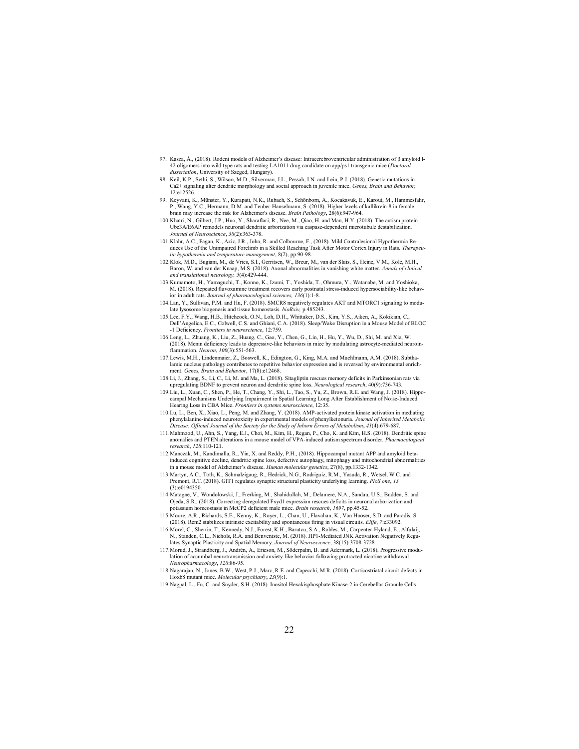- 97. Kasza, Á., (2018). Rodent models of Alzheimer's disease: Intracerebroventricular administration of β amyloid l-42 oligomers into wild type rats and testing LA1011 drug candidate on app/ps1 transgenic mice (*Doctoral*) dissertation, University of Szeged, Hungary).
- 98. Keil, K.P., Sethi, S., Wilson, M.D., Silverman, J.L., Pessah, I.N. and Lein, P.J. (2018). Genetic mutations in Ca2+ signaling alter dendrite morphology and social approach in juvenile mice. Genes, Brain and Behavior, 12:e12526.
- 99. Keyvani, K., Münster, Y., Kurapati, N.K., Rubach, S., Schönborn, A., Kocakavuk, E., Karout, M., Hammesfahr, P., Wang, Y.C., Hermann, D.M. and Teuber-Hanselmann, S. (2018). Higher levels of kallikrein-8 in female<br>brain may increase the risk for Alzheimer's disease. *Brain Pathology*, 28(6):947-964.
- 100. Khatri, N., Gilbert, J.P., Huo, Y., Sharaflari, R., Nee, M., Qiao, H. and Man, H.Y. (2018). The autism protein Ube3A/E6AP remodels neuronal dendritic arborization via caspase-dependent microtubule destabilization. Journal of Neuroscience, 38(2):363-378.
- 101. Klahr, A.C., Fagan, K., Aziz, J.R., John, R. and Colbourne, F., (2018). Mild Contralesional Hypothermia Reduces Use of the Unimpaired Forelimb in a Skilled Reaching Task After Motor Cortex Injury in Rats. Therapeutic hypothermia and temperature management, 8(2), pp.90-98.
- 102. Klok, M.D., Bugiani, M., de Vries, S.I., Gerritsen, W., Breur, M., van der Sluis, S., Heine, V.M., Kole, M.H., Baron, W. and van der Knaap, M.S. (2018). Axonal abnormalities in vanishing white matter. Annals of clinical and translational neurology, 5(4):429-444.
- 103. Kumamoto, H., Yamaguchi, T., Konno, K., Izumi, T., Yoshida, T., Ohmura, Y., Watanabe, M. and Yoshioka, M. (2018). Repeated fluvoxamine treatment recovers early postnatal stress-induced hypersociability-like behavin (2010). Repeated in committee teaming the control of pharmacological sciences, 136(1):1-8.
- 104. Lan, Y., Sullivan, P.M. and Hu, F. (2018). SMCR8 negatively regulates AKT and MTORC1 signaling to modulate lysosome biogenesis and tissue homeostasis. bioRxiv, p.485243.
- 105. Lee, F.Y., Wang, H.B., Hitchcock, O.N., Loh, D.H., Whittaker, D.S., Kim, Y.S., Aiken, A., Kokikian, C., Dell'Angelica, E.C., Colwell, C.S. and Ghiani, C.A. (2018). Sleep/Wake Disruption in a Mouse Model of BLOC -1 Deficiency. Frontiers in neuroscience, 12:759.
- 106. Leng, L., Zhuang, K., Liu, Z., Huang, C., Gao, Y., Chen, G., Lin, H., Hu, Y., Wu, D., Shi, M. and Xie, W. (2018). Menin deficiency leads to depressive-like behaviors in mice by modulating astrocyte-mediated neuroinflammation. Neuron, 100(3):551-563.
- 107. Lewis, M.H., Lindenmaier, Z., Boswell, K., Edington, G., King, M.A. and Muehlmann, A.M. (2018). Subthalamic nucleus pathology contributes to repetitive behavior expression and is reversed by environmental enrichment. Genes, Brain and Behavior, 17(8):e12468.
- 108. Li, J., Zhang, S., Li, C., Li, M. and Ma, L. (2018). Sitagliptin rescues memory deficits in Parkinsonian rats via upregulating BDNF to prevent neuron and dendritic spine loss. Neurological research, 40(9):736-743.
- 109. Liu, L., Xuan, C., Shen, P., He, T., Chang, Y., Shi, L., Tao, S., Yu, Z., Brown, R.E. and Wang, J. (2018). Hippocampal Mechanisms Underlying Impairment in Spatial Learning Long After Establishment of Noise-Induced<br>Hearing Loss in CBA Mice. *Frontiers in systems neuroscience*, 12:35.
- 110. Lu, L., Ben, X., Xiao, L., Peng, M. and Zhang, Y. (2018). AMP-activated protein kinase activation in mediating phenvlalanine-induced neurotoxicity in experimental models of phenvlketonuria. Journal of Inherited Metabo nduced neurotoxicity in experimental models of phenylketonuria. Journal of Inherited Metabolic Disease: Official Journal of the Society for the Study of Inborn Errors of Metabolism, 41(4):679-687.
- 111. Mahmood, U., Ahn, S., Yang, E.J., Choi, M., Kim, H., Regan, P., Cho, K. and Kim, H.S. (2018). Dendritic spine anomalies and PTEN alterations in a mouse model of VPA-induced autism spectrum disorder. Pharmacological research, 128:110-121.
- 112. Manczak, M., Kandimalla, R., Yin, X. and Reddy, P.H., (2018). Hippocampal mutant APP and amyloid betainduced cognitive decline, dendritic spine loss, defective autophagy, mitophagy and mitochondrial abnormalities<br>in a mouse model of Alzheimer's disease. Human molecular genetics, 27(8), pp.1332-1342.
- 113. Martyn, A.C., Toth, K., Schmalzigaug, R., Hedrick, N.G., Rodriguiz, R.M., Yasuda, R., Wetsel, W.C. and Premont, R.T. (2018). GIT1 regulates synaptic structural plasticity underlying learning. PloS one, 13 (3):e0194350.
- 114. Matagne, V., Wondolowski, J., Frerking, M., Shahidullah, M., Delamere, N.A., Sandau, U.S., Budden, S. and Ojeda, S.R., (2018). Correcting deregulated Fxyd1 expression rescues deficits in neuronal arborization and potassium homeostasis in MeCP2 deficient male mice. Brain research, 1697, pp.45-52.
- 115. Moore, A.R., Richards, S.E., Kenny, K., Royer, L., Chan, U., Flavahan, K., Van Hooser, S.D. and Paradis, S. (2018). Rem2 stabilizes intrinsic excitability and spontaneous firing in visual circuits. Elife, 7:e33092.
- 116. Morel, C., Sherrin, T., Kennedy, N.J., Forest, K.H., Barutcu, S.A., Robles, M., Carpenter-Hyland, E., Alfulaij, N., Standen, C.L., Nichols, R.A. and Benveniste, M. (2018). JIP1-Mediated JNK Activation Negatively Regulates Synaptic Plasticity and Spatial Memory. Journal of Neuroscience, 38(15):3708-3728.
- 117. Morud, J., Strandberg, J., Andrén, A., Ericson, M., Söderpalm, B. and Adermark, L. (2018). Progressive modulation of accumbal neurotransmission and anxiety-like behavior following protracted nicotine withdrawal. Neuropharmacology, 128:86-95.
- 118. Nagarajan, N., Jones, B.W., West, P.J., Marc, R.E. and Capecchi, M.R. (2018). Corticostriatal circuit defects in Hoxb8 mutant mice. *Molecular psychiatry*, 23(9):1.
- 119. Nagpal, L., Fu, C. and Snyder, S.H. (2018). Inositol Hexakisphosphate Kinase-2 in Cerebellar Granule Cells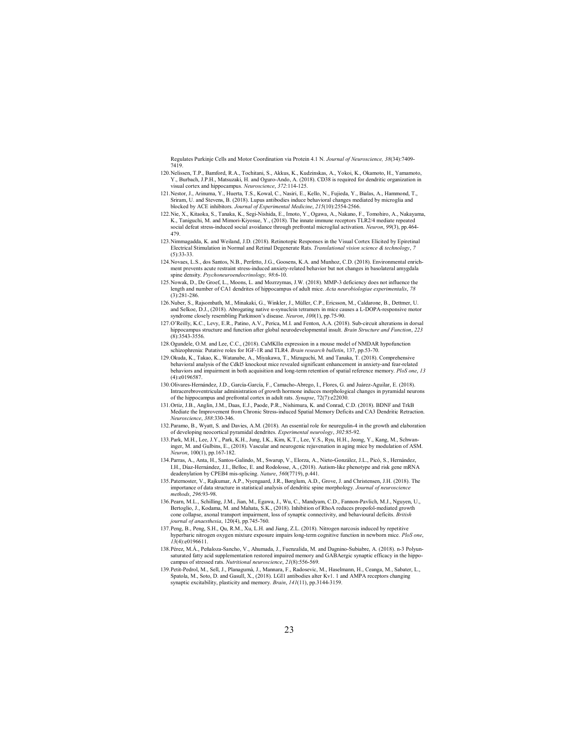Regulates Purkinje Cells and Motor Coordination via Protein 4.1 N. Journal of Neuroscience, 38(34):7409- 7419.

- 120. Nelissen, T.P., Bamford, R.A., Tochitani, S., Akkus, K., Kudzinskas, A., Yokoi, K., Okamoto, H., Yamamoto, Y., Burbach, J.P.H., Matsuzaki, H. and Oguro-Ando, A. (2018). CD38 is required for dendritic organization in visual cortex and hippocampus. Neuroscience, 372:114-125.
- 121. Nestor, J., Arinuma, Y., Huerta, T.S., Kowal, C., Nasiri, E., Kello, N., Fujieda, Y., Bialas, A., Hammond, T., Sriram, U. and Stevens, B. (2018). Lupus antibodies induce behavioral changes mediated by microglia and blocked by ACE inhibitors. Journal of Experimental Medicine, 215(10):2554-2566.
- 122. Nie, X., Kitaoka, S., Tanaka, K., Segi-Nishida, E., Imoto, Y., Ogawa, A., Nakano, F., Tomohiro, A., Nakayama, K., Taniguchi, M. and Mimori-Kiyosue, Y., (2018). The innate immune receptors TLR2/4 mediate repeated social defeat stress-induced social avoidance through prefrontal microglial activation. Neuron, 99(3), pp.464- 479.
- 123. Nimmagadda, K. and Weiland, J.D. (2018). Retinotopic Responses in the Visual Cortex Elicited by Epiretinal Electrical Stimulation in Normal and Retinal Degenerate Rats. Translational vision science & technology, 7 (5):33-33.
- 124. Novaes, L.S., dos Santos, N.B., Perfetto, J.G., Goosens, K.A. and Munhoz, C.D. (2018). Environmental enrichment prevents acute restraint stress-induced anxiety-related behavior but not changes in basolateral amygdala spine density. Psychoneuroendocrinology, 98:6-10.
- 125. Nowak, D., De Groef, L., Moons, L. and Mozrzymas, J.W. (2018). MMP-3 deficiency does not influence the length and number of CA1 dendrites of hippocampus of adult mice. Acta neurobiologiae experimentalis, 78 (3):281-286.
- 126. Nuber, S., Rajsombath, M., Minakaki, G., Winkler, J., Müller, C.P., Ericsson, M., Caldarone, B., Dettmer, U. and Selkoe, D.J., (2018). Abrogating native α-synuclein tetramers in mice causes a L-DOPA-responsive motor syndrome closely resembling Parkinson's disease. Neuron, 100(1), pp.75-90.
- 127. O'Reilly, K.C., Levy, E.R., Patino, A.V., Perica, M.I. and Fenton, A.A. (2018). Sub-circuit alterations in dorsal hippocampus structure and function after global neurodevelopmental insult. Brain Structure and Function, 223 (8):3543-3556.
- 128. Ogundele, O.M. and Lee, C.C., (2018). CaMKIIα expression in a mouse model of NMDAR hypofunction schizophrenia: Putative roles for IGF-1R and TLR4. Brain research bulletin, 137, pp.53-70.
- 129. Okuda, K., Takao, K., Watanabe, A., Miyakawa, T., Mizuguchi, M. and Tanaka, T. (2018). Comprehensive behavioral analysis of the Cdkl5 knockout mice revealed significant enhancement in anxiety-and fear-related behaviors and impairment in both acquisition and long-term retention of spatial reference memory. PloS one, 13 (4):e0196587.
- 130. Olivares‐Hernández, J.D., García‐García, F., Camacho‐Abrego, I., Flores, G. and Juárez‐Aguilar, E. (2018). Intracerebroventricular administration of growth hormone induces morphological changes in pyramidal neurons of the hippocampus and prefrontal cortex in adult rats. Synapse, 72(7):e22030.
- 131. Ortiz, J.B., Anglin, J.M., Daas, E.J., Paode, P.R., Nishimura, K. and Conrad, C.D. (2018). BDNF and TrkB Mediate the Improvement from Chronic Stress-induced Spatial Memory Deficits and CA3 Dendritic Retraction. Neuroscience, 388:330-346.
- 132. Paramo, B., Wyatt, S. and Davies, A.M. (2018). An essential role for neuregulin-4 in the growth and elaboration of developing neocortical pyramidal dendrites. Experimental neurology, 302:85-92.
- 133. Park, M.H., Lee, J.Y., Park, K.H., Jung, I.K., Kim, K.T., Lee, Y.S., Ryu, H.H., Jeong, Y., Kang, M., Schwaninger, M. and Gulbins, E., (2018). Vascular and neurogenic rejuvenation in aging mice by modulation of ASM. Neuron, 100(1), pp.167-182.
- 134. Parras, A., Anta, H., Santos-Galindo, M., Swarup, V., Elorza, A., Nieto-González, J.L., Picó, S., Hernández, I.H., Díaz-Hernández, J.I., Belloc, E. and Rodolosse, A., (2018). Autism-like phenotype and risk gene mRNA deadenylation by CPEB4 mis-splicing. Nature, 560(7719), p.441.
- 135. Paternoster, V., Rajkumar, A.P., Nyengaard, J.R., Børglum, A.D., Grove, J. and Christensen, J.H. (2018). The importance of data structure in statistical analysis of dendritic spine morphology. Journal of neuroscience methods, 296:93-98.
- 136. Pearn, M.L., Schilling, J.M., Jian, M., Egawa, J., Wu, C., Mandyam, C.D., Fannon-Pavlich, M.J., Nguyen, U., Bertoglio, J., Kodama, M. and Mahata, S.K., (2018). Inhibition of RhoA reduces propofol-mediated growth cone collapse, axonal transport impairment, loss of synaptic connectivity, and behavioural deficits. British journal of anaesthesia, 120(4), pp.745-760.
- 137. Peng, B., Peng, S.H., Qu, R.M., Xu, L.H. and Jiang, Z.L. (2018). Nitrogen narcosis induced by repetitive hyperbaric nitrogen oxygen mixture exposure impairs long-term cognitive function in newborn mice. PloS one,  $13(4)$ :e0196611
- 138. Pérez, M.Á., Peñaloza-Sancho, V., Ahumada, J., Fuenzalida, M. and Dagnino-Subiabre, A. (2018). n-3 Polyunsaturated fatty acid supplementation restored impaired memory and GABAergic synaptic efficacy in the hippo-<br>campus of stressed rats. *Nutritional neuroscience*, 21(8):556-569.
- 139. Petit-Pedrol, M., Sell, J., Planagumà, J., Mannara, F., Radosevic, M., Haselmann, H., Ceanga, M., Sabater, L., Spatola, M., Soto, D. and Gasull, X., (2018). LGI1 antibodies alter Kv1. 1 and AMPA receptors changing synaptic excitability, plasticity and memory. Brain, 141(11), pp.3144-3159.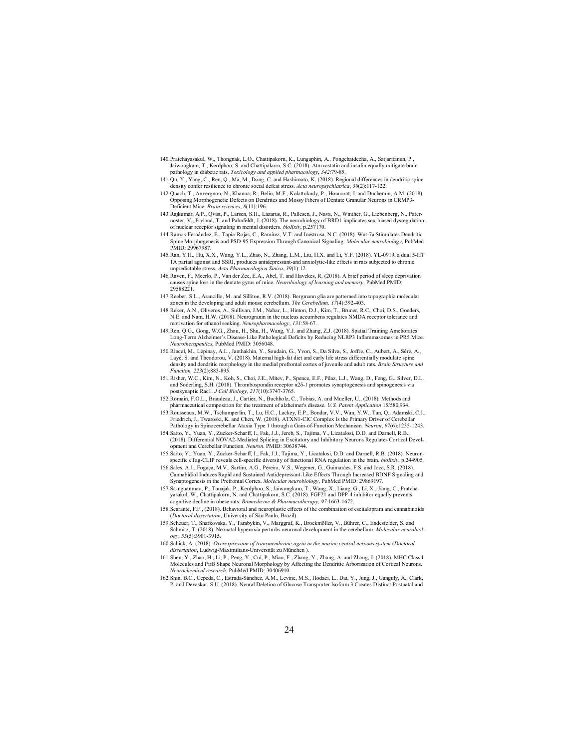- 140. Pratchayasakul, W., Thongnak, L.O., Chattipakorn, K., Lungaphin, A., Pongchaidecha, A., Satjaritanun, P., Jaiwongkam, T., Kerdphoo, S. and Chattipakorn, S.C. (2018). Atorvastatin and insulin equally mitigate brain pathology in diabetic rats. Toxicology and applied pharmacology, 342:79-85.
- 141. Qu, Y., Yang, C., Ren, Q., Ma, M., Dong, C. and Hashimoto, K. (2018). Regional differences in dendritic spine density confer resilience to chronic social defeat stress. Acta neuropsychiatrica, 30(2):117-122.
- 142. Quach, T., Auvergnon, N., Khanna, R., Belin, M.F., Kolattukudy, P., Honnorat, J. and Duchemin, A.M. (2018). Opposing Morphogenetic Defects on Dendrites and Mossy Fibers of Dentate Granular Neurons in CRMP3- Deficient Mice. Brain sciences, 8(11):196.
- 143. Rajkumar, A.P., Qvist, P., Larsen, S.H., Lazarus, R., Pallesen, J., Nava, N., Winther, G., Liebenberg, N., Paternoster, V., Fryland, T. and Palmfeldt, J. (2018). The neurobiology of BRD1 implicates sex-biased dysregulation of nuclear receptor signaling in mental disorders. bioRxiv, p.257170.
- 144. Ramos-Fernández, E., Tapia-Rojas, C., Ramírez, V.T. and Inestrosa, N.C. (2018). Wnt-7a Stimulates Dendritic Spine Morphogenesis and PSD-95 Expression Through Canonical Signaling. *Molecular neurobiology*, PubMed<br>PMID: 29967987.
- 145. Ran, Y.H., Hu, X.X., Wang, Y.L., Zhao, N., Zhang, L.M., Liu, H.X. and Li, Y.F. (2018). YL-0919, a dual 5-HT 1A partial agonist and SSRI, produces antidepressant-and anxiolytic-like effects in rats subjected to chronic unpredictable stress. Acta Pharmacologica Sinica, 39(1):12.
- 146. Raven, F., Meerlo, P., Van der Zee, E.A., Abel, T. and Havekes, R. (2018). A brief period of sleep deprivation causes spine loss in the dentate gyrus of mice. Neurobiology of learning and memory, PubMed PMID: 29588221
- 147. Reeber, S.L., Arancillo, M. and Sillitoe, R.V. (2018). Bergmann glia are patterned into topographic molecular zones in the developing and adult mouse cerebellum. The Cerebellum, 17(4):392-403.
- 148. Reker, A.N., Oliveros, A., Sullivan, J.M., Nahar, L., Hinton, D.J., Kim, T., Bruner, R.C., Choi, D.S., Goeders, N.E. and Nam, H.W. (2018). Neurogranin in the nucleus accumbens regulates NMDA receptor tolerance and motivation for ethanol seeking. Neuropharmacology, 131:58-67.
- 149. Ren, Q.G., Gong, W.G., Zhou, H., Shu, H., Wang, Y.J. and Zhang, Z.J. (2018). Spatial Training Ameliorates Long-Term Alzheimer's Disease-Like Pathological Deficits by Reducing NLRP3 Inflammasomes in PR5 Mice. Neurotherapeutics, PubMed PMID: 3056048.
- 150.Rincel, M., Lépinay, A.L., Janthakhin, Y., Soudain, G., Yvon, S., Da Silva, S., Joffre, C., Aubert, A., Séré, A., Layé, S. and Theodorou, V. (2018). Maternal high-fat diet and early life stress differentially modulate density and dendritic morphology in the medial prefrontal cortex of juvenile and adult rats. Brain Structure and Function, 223(2):883-895.
- 151. Risher, W.C., Kim, N., Koh, S., Choi, J.E., Mitev, P., Spence, E.F., Pilaz, L.J., Wang, D., Feng, G., Silver, D.L. and Soderling, S.H. (2018). Thrombospondin receptor α2δ-1 promotes synaptogenesis and spinogenesis via postsynaptic Rac1.  $\hat{J}$  Cell Biology, 217(10):3747-3765.
- 152. Romain, F.O.L., Braudeau, J., Cartier, N., Buchholz, C., Tobias, A. and Mueller, U., (2018). Methods and pharmaceutical composition for the treatment of alzheimer's disease. U.S. Patent Application 15/580,934.
- 153. Rousseaux, M.W., Tschumperlin, T., Lu, H.C., Lackey, E.P., Bondar, V.V., Wan, Y.W., Tan, Q., Adamski, C.J., Friedrich, J., Twaroski, K. and Chen, W. (2018). ATXN1-CIC Complex Is the Primary Driver of Cerebellar Pathology in Spinocerebellar Ataxia Type 1 through a Gain-of-Function Mechanism. Neuron, 97(6):1235-1243.
- 154. Saito, Y., Yuan, Y., Zucker-Scharff, I., Fak, J.J., Jereb, S., Tajima, Y., Licatalosi, D.D. and Darnell, R.B., (2018). Differential NOVA2-Mediated Splicing in Excitatory and Inhibitory Neurons Regulates Cortical Development and Cerebellar Function. Neuron. PMID: 30638744.
- 155. Saito, Y., Yuan, Y., Zucker-Scharff, I., Fak, J.J., Tajima, Y., Licatalosi, D.D. and Darnell, R.B. (2018). Neuronspecific cTag-CLIP reveals cell-specific diversity of functional RNA regulation in the brain. bioRxiv, p.244905.<br>156.Sales, A.J., Fogaça, M.V., Sartim, A.G., Pereira, V.S., Wegener, G., Guimarães, F.S. and Joca, S.R. (2018
- Cannabidiol Induces Rapid and Sustained Antidepressant-Like Effects Through Increased BDNF Signaling and Synaptogenesis in the Prefrontal Cortex. Molecular neurobiology, PubMed PMID: 29869197.
- 157. Sa-nguanmoo, P., Tanajak, P., Kerdphoo, S., Jaiwongkam, T., Wang, X., Liang, G., Li, X., Jiang, C., Pratcha-yasakul, W., Chattipakorn, N. and Chattipakorn, S.C. (2018). FGF21 and DPP-4 inhibitor equally prevents cognitive decline in obese rats. Biomedicine & Pharmacotherapy, 97:1663-1672.
- 158. Scarante, F.F., (2018). Behavioral and neuroplastic effects of the combination of escitalopram and cannabinoids (Doctoral dissertation, University of São Paulo, Brazil).
- 159. Scheuer, T., Sharkovska, Y., Tarabykin, V., Marggraf, K., Brockmöller, V., Bührer, C., Endesfelder, S. and Schmitz, T. (2018). Neonatal hyperoxia perturbs neuronal development in the cerebellum. Molecular neurobiology, 55(5):3901-3915.
- 160. Schick, A. (2018). Overexpression of transmembrane-agrin in the murine central nervous system (Doctoral dissertation, Ludwig-Maximilians-Universität zu München ).
- 161. Shen, Y., Zhao, H., Li, P., Peng, Y., Cui, P., Miao, F., Zhang, Y., Zhang, A. and Zhang, J. (2018). MHC Class I Molecules and PirB Shape Neuronal Morphology by Affecting the Dendritic Arborization of Cortical Neurons. Neurochemical research, PubMed PMID: 30406910.
- 162.Shin, B.C., Cepeda, C., Estrada-Sánchez, A.M., Levine, M.S., Hodaei, L., Dai, Y., Jung, J., Ganguly, A., Clark, P. and Devaskar, S.U. (2018). Neural Deletion of Glucose Transporter Isoform 3 Creates Distinct Postnatal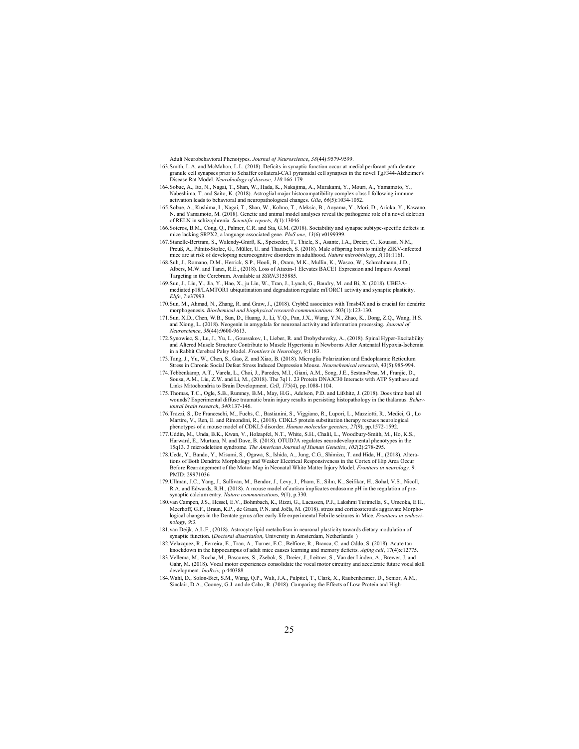Adult Neurobehavioral Phenotypes. Journal of Neuroscience, 38(44):9579-9599.

- 163. Smith, L.A. and McMahon, L.L. (2018). Deficits in synaptic function occur at medial perforant path-dentate granule cell synapses prior to Schaffer collateral-CA1 pyramidal cell synapses in the novel TgF344-Alzheimer's<br>Disease Rat Model. *Neurobiology of disease, 110*:166-179.
- 164. Sobue, A., Ito, N., Nagai, T., Shan, W., Hada, K., Nakajima, A., Murakami, Y., Mouri, A., Yamamoto, Y., Nabeshima, T. and Saito, K. (2018). Astroglial major histocompatibility complex class I following immune activation leads to behavioral and neuropathological changes. *Glia*, 66(5):1034-1052.
- 165. Sobue, A., Kushima, I., Nagai, T., Shan, W., Kohno, T., Aleksic, B., Aoyama, Y., Mori, D., Arioka, Y., Kawano, N. and Yamamoto, M. (2018). Genetic and animal model analyses reveal the pathogenic role of a novel deletion of RELN in schizophrenia. Scientific reports, 8(1):13046
- 166. Soteros, B.M., Cong, Q., Palmer, C.R. and Sia, G.M. (2018). Sociability and synapse subtype-specific defects in mice lacking SRPX2, a language-associated gene. PloS one, 13(6):e0199399.
- 167. Stanelle-Bertram, S., Walendy-Gnirß, K., Speiseder, T., Thiele, S., Asante, I.A., Dreier, C., Kouassi, N.M., Preuß, A., Pilnitz-Stolze, G., Müller, U. and Thanisch, S. (2018). Male offspring born to mildly ZIKV-infected mice are at risk of developing neurocognitive disorders in adulthood. Nature microbiology, 3(10):1161.
- 168. Suh, J., Romano, D.M., Herrick, S.P., Hooli, B., Oram, M.K., Mullin, K., Wasco, W., Schmahmann, J.D., Albers, M.W. and Tanzi, R.E., (2018). Loss of Ataxin-1 Elevates BACE1 Expression and Impairs Axonal Targeting in the Cerebrum. Available at SSRN.3155885.
- 169. Sun, J., Liu, Y., Jia, Y., Hao, X., ju Lin, W., Tran, J., Lynch, G., Baudry, M. and Bi, X. (2018). UBE3Amediated p18/LAMTOR1 ubiquitination and degradation regulate mTORC1 activity and synaptic plasticity.  $Elifo$ ,  $7.937993$ .
- 170. Sun, M., Ahmad, N., Zhang, R. and Graw, J., (2018). Crybb2 associates with Tmsb4X and is crucial for dendrite morphogenesis. Biochemical and biophysical research communications. 503(1):123-130.
- 171. Sun, X.D., Chen, W.B., Sun, D., Huang, J., Li, Y.Q., Pan, J.X., Wang, Y.N., Zhao, K., Dong, Z.Q., Wang, H.S. and Xiong, L. (2018). Neogenin in amygdala for neuronal activity and information processing. Journal of Neuroscience, 38(44):9600-9613.
- 172. Synowiec, S., Lu, J., Yu, L., Goussakov, I., Lieber, R. and Drobyshevsky, A., (2018). Spinal Hyper-Excitability and Altered Muscle Structure Contribute to Muscle Hypertonia in Newborns After Antenatal Hypoxia-Ischemia in a Rabbit Cerebral Palsy Model. Frontiers in Neurology, 9:1183.
- 173. Tang, J., Yu, W., Chen, S., Gao, Z. and Xiao, B. (2018). Microglia Polarization and Endoplasmic Reticulum Stress in Chronic Social Defeat Stress Induced Depression Mouse. Neurochemical research, 43(5):985-994.
- 174. Tebbenkamp, A.T., Varela, L., Choi, J., Paredes, M.I., Giani, A.M., Song, J.E., Sestan-Pesa, M., Franjic, D., Sousa, A.M., Liu, Z.W. and Li, M., (2018). The 7q11. 23 Protein DNAJC30 Interacts with ATP Synthase and Links Mitochondria to Brain Development. Cell, 175(4), pp.1088-1104.
- 175. Thomas, T.C., Ogle, S.B., Rumney, B.M., May, H.G., Adelson, P.D. and Lifshitz, J. (2018). Does time heal all wounds? Experimental diffuse traumatic brain injury results in persisting histopathology in the thalamus. Behavioural brain research, 340:137-146.
- 176. Trazzi, S., De Franceschi, M., Fuchs, C., Bastianini, S., Viggiano, R., Lupori, L., Mazziotti, R., Medici, G., Lo Martire, V., Ren, E. and Rimondini, R., (2018). CDKL5 protein substitution therapy rescues neurological phenotypes of a mouse model of CDKL5 disorder. Human molecular genetics, 27(9), pp.1572-1592.
- 177. Uddin, M., Unda, B.K., Kwan, V., Holzapfel, N.T., White, S.H., Chalil, L., Woodbury-Smith, M., Ho, K.S., Harward, E., Murtaza, N. and Dave, B. (2018). OTUD7A regulates neurodevelopmental phenotypes in the 15q13. 3 microdeletion syndrome. The American Journal of Human Genetics, 102(2):278-295.
- 178. Ueda, Y., Bando, Y., Misumi, S., Ogawa, S., Ishida, A., Jung, C.G., Shimizu, T. and Hida, H., (2018). Alterations of Both Dendrite Morphology and Weaker Electrical Responsiveness in the Cortex of Hip Area Occur<br>Before Rearrangement of the Motor Map in Neonatal White Matter Injury Model. *Frontiers in neurology*, 9. PMID: 29971036
- 179. Ullman, J.C., Yang, J., Sullivan, M., Bendor, J., Levy, J., Pham, E., Silm, K., Seifikar, H., Sohal, V.S., Nicoll, R.A. and Edwards, R.H., (2018). A mouse model of autism implicates endosome pH in the regulation of presynaptic calcium entry. *Nature communications*, 9(1), p.330.
- 180. van Campen, J.S., Hessel, E.V., Bohmbach, K., Rizzi, G., Lucassen, P.J., Lakshmi Turimella, S., Umeoka, E.H., Meerhoff, G.F., Braun, K.P., de Graan, P.N. and Joëls, M. (2018). stress and corticosteroids aggravate Morphological changes in the Dentate gyrus after early-life experimental Febrile seizures in Mice. Frontiers in endocrinology, 9:3.
- 181. van Deijk, A.L.F., (2018). Astrocyte lipid metabolism in neuronal plasticity towards dietary modulation of synaptic function. (Doctoral dissertation, University in Amsterdam, Netherlands )
- 182. Velazquez, R., Ferreira, E., Tran, A., Turner, E.C., Belfiore, R., Branca, C. and Oddo, S. (2018). Acute tau knockdown in the hippocampus of adult mice causes learning and memory deficits. Aging cell, 17(4):e12775.
- 183. Vellema, M., Rocha, M., Bascones, S., Zsebok, S., Dreier, J., Leitner, S., Van der Linden, A., Brewer, J. and Gahr, M. (2018). Vocal motor experiences consolidate the vocal motor circuitry and accelerate future vocal skill development. bioRxiv, p.440388.
- 184. Wahl, D., Solon-Biet, S.M., Wang, Q.P., Wali, J.A., Pulpitel, T., Clark, X., Raubenheimer, D., Senior, A.M., Sinclair, D.A., Cooney, G.J. and de Cabo, R. (2018). Comparing the Effects of Low-Protein and High-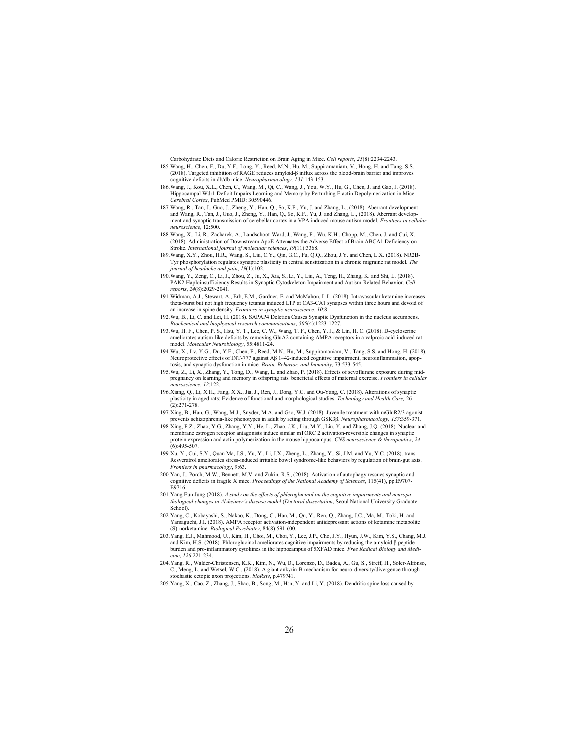Carbohydrate Diets and Caloric Restriction on Brain Aging in Mice. Cell reports, 25(8):2234-2243.

- 185. Wang, H., Chen, F., Du, Y.F., Long, Y., Reed, M.N., Hu, M., Suppiramaniam, V., Hong, H. and Tang, S.S. (2018). Targeted inhibition of RAGE reduces amyloid-β influx across the blood-brain barrier and improves cognitive deficits in db/db mice. Neuropharmacology, 131:143-153.
- 186. Wang, J., Kou, X.L., Chen, C., Wang, M., Qi, C., Wang, J., You, W.Y., Hu, G., Chen, J. and Gao, J. (2018). Hippocampal Wdr1 Deficit Impairs Learning and Memory by Perturbing F-actin Depolymerization in Mice.<br>Cerebral Cortex, PubMed PMID: 30590446.
- 187. Wang, R., Tan, J., Guo, J., Zheng, Y., Han, Q., So, K.F., Yu, J. and Zhang, L., (2018). Aberrant development<br>and Wang, R., Tan, J., Guo, J., Zheng, Y., Han, Q., So, K.F., Yu, J. and Zhang, L., (2018). Aberrant develop
- 188. Wang, X., Li, R., Zacharek, A., Landschoot-Ward, J., Wang, F., Wu, K.H., Chopp, M., Chen, J. and Cui, X. (2018). Administration of Downstream ApoE Attenuates the Adverse Effect of Brain ABCA1 Deficiency on<br>Stroke. International journal of molecular sciences, 19(11):3368.
- 189. Wang, X.Y., Zhou, H.R., Wang, S., Liu, C.Y., Qin, G.C., Fu, Q.Q., Zhou, J.Y. and Chen, L.X. (2018). NR2B-Tyr phosphorylation regulates synaptic plasticity in central sensitization in a chronic migraine rat model. The journal of headache and pain, 19(1):102.
- 190. Wang, Y., Zeng, C., Li, J., Zhou, Z., Ju, X., Xia, S., Li, Y., Liu, A., Teng, H., Zhang, K. and Shi, L. (2018). PAK2 Haploinsufficiency Results in Synaptic Cytoskeleton Impairment and Autism-Related Behavior. Cell reports, 24(8):2029-2041.
- 191. Widman, A.J., Stewart, A., Erb, E.M., Gardner, E. and McMahon, L.L. (2018). Intravascular ketamine increases theta-burst but not high frequency tetanus induced LTP at CA3-CA1 synapses within three hours and devoid of an increase in spine density. Frontiers in synaptic neuroscience, 10:8.
- 192. Wu, B., Li, C. and Lei, H. (2018). SAPAP4 Deletion Causes Synaptic Dysfunction in the nucleus accumbens. Biochemical and biophysical research communications, 505(4):1223-1227.
- 193. Wu, H. F., Chen, P. S., Hsu, Y. T., Lee, C. W., Wang, T. F., Chen, Y. J., & Lin, H. C. (2018). D-cycloserine ameliorates autism-like deficits by removing GluA2-containing AMPA receptors in a valproic acid-induced rate and rate. model. Molecular Neurobiology, 55:4811-24.
- 194. Wu, X., Lv, Y.G., Du, Y.F., Chen, F., Reed, M.N., Hu, M., Suppiramaniam, V., Tang, S.S. and Hong, H. (2018).<br>Neuroprotective effects of INT-777 against Aß 1–42-induced cognitive impairment, neuroinflammation, apop-<br>to
- 195. Wu, Z., Li, X., Zhang, Y., Tong, D., Wang, L. and Zhao, P. (2018). Effects of sevoflurane exposure during midpregnancy on learning and memory in offspring rats: beneficial effects of maternal exercise. Frontiers in cellular neuroscience, 12:122.
- 196. Xiang, Q., Li, X.H., Fang, X.X., Jia, J., Ren, J., Dong, Y.C. and Ou-Yang, C. (2018). Alterations of synaptic plasticity in aged rats: Evidence of functional and morphological studies. Technology and Health Care, 26  $(2):$  271-278.
- 197. Xing, B., Han, G., Wang, M.J., Snyder, M.A. and Gao, W.J. (2018). Juvenile treatment with mGluR2/3 agonist prevents schizophrenia-like phenotypes in adult by acting through GSK3β. Neuropharmacology, 137:359-371.
- 198. Xing, F.Z., Zhao, Y.G., Zhang, Y.Y., He, L., Zhao, J.K., Liu, M.Y., Liu, Y. and Zhang, J.Q. (2018). Nuclear and membrane estrogen receptor antagonists induce similar mTORC 2 activation-reversible changes in synaptic protein expression and actin polymerization in the mouse hippocampus. CNS neuroscience & therapeutics, 24  $(6):495-507.$
- 199. Xu, Y., Cui, S.Y., Quan Ma, J.S., Yu, Y., Li, J.X., Zheng, L., Zhang, Y., Si, J.M. and Yu, Y.C. (2018). trans-Resveratrol ameliorates stress-induced irritable bowel syndrome-like behaviors by regulation of brain-gut axis. Frontiers in pharmacology, 9:63.
- 200. Yan, J., Porch, M.W., Bennett, M.V. and Zukin, R.S., (2018). Activation of autophagy rescues synaptic and cognitive deficits in fragile X mice. Proceedings of the National Academy of Sciences, 115(41), pp.E9707-<br>E9716.
- 201. Yang Eun Jung (2018). A study on the effects of phloroglucinol on the cognitive impairments and neuropathological changes in Alzheimer's disease model (Doctoral dissertation, Seoul National University Graduate School).
- 202. Yang, C., Kobayashi, S., Nakao, K., Dong, C., Han, M., Qu, Y., Ren, Q., Zhang, J.C., Ma, M., Toki, H. and Yamaguchi, J.I. (2018). AMPA receptor activation-independent antidepressant actions of ketamine metabolite (S)-norketamine. Biological Psychiatry, 84(8):591-600.
- 203. Yang, E.J., Mahmood, U., Kim, H., Choi, M., Choi, Y., Lee, J.P., Cho, J.Y., Hyun, J.W., Kim, Y.S., Chang, M.J. and Kim, H.S. (2018). Phloroglucinol ameliorates cognitive impairments by reducing the amyloid β peptide burden and pro-inflammatory cytokines in the hippocampus of 5XFAD mice. Free Radical Biology and Medi $cine$ , 126:221-234.
- 204. Yang, R., Walder-Christensen, K.K., Kim, N., Wu, D., Lorenzo, D., Badea, A., Gu, S., Streff, H., Soler-Alfonso, C., Meng, L. and Wetsel, W.C., (2018). A giant ankyrin-B mechanism for neuro-diversity/divergence through stochastic ectopic axon projections. bioRxiv, p.479741.
- 205. Yang, X., Cao, Z., Zhang, J., Shao, B., Song, M., Han, Y. and Li, Y. (2018). Dendritic spine loss caused by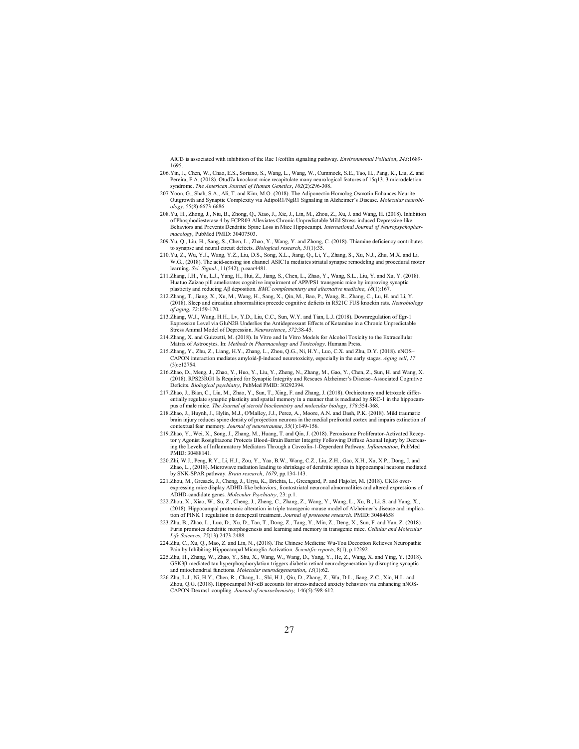AlCl3 is associated with inhibition of the Rac 1/cofilin signaling pathway. Environmental Pollution, 243:1689- 1695.

- 206. Yin, J., Chen, W., Chao, E.S., Soriano, S., Wang, L., Wang, W., Cummock, S.E., Tao, H., Pang, K., Liu, Z. and Pereira, F.A. (2018). Otud7a knockout mice recapitulate many neurological features of 15q13. 3 microdeletion syndrome. The American Journal of Human Genetics, 102(2):296-308.
- 207. Yoon, G., Shah, S.A., Ali, T. and Kim, M.O. (2018). The Adiponectin Homolog Osmotin Enhances Neurite Outgrowth and Synaptic Complexity via AdipoR1/NgR1 Signaling in Alzheimer's Disease. Molecular neurobiology, 55(8):6673-6686.
- 208. Yu, H., Zhong, J., Niu, B., Zhong, Q., Xiao, J., Xie, J., Lin, M., Zhou, Z., Xu, J. and Wang, H. (2018). Inhibition of Phosphodiesterase 4 by FCPR03 Alleviates Chronic Unpredictable Mild Stress-induced Depressive-like Behaviors and Prevents Dendritic Spine Loss in Mice Hippocampi. International Journal of Neuropsychopharmacology, PubMed PMID: 30407503.
- 209. Yu, Q., Liu, H., Sang, S., Chen, L., Zhao, Y., Wang, Y. and Zhong, C. (2018). Thiamine deficiency contributes to synapse and neural circuit defects. *Biological research*, 51(1):35.
- 210. Yu, Z., Wu, Y.J., Wang, Y.Z., Liu, D.S., Song, X.L., Jiang, Q., Li, Y., Zhang, S., Xu, N.J., Zhu, M.X. and Li, W.G., (2018). The acid-sensing ion channel ASIC1a mediates striatal synapse remodeling and procedural motor learning. Sci. Signal., 11(542), p.eaar4481.
- 211. Zhang, J.H., Yu, L.J., Yang, H., Hui, Z., Jiang, S., Chen, L., Zhao, Y., Wang, S.L., Liu, Y. and Xu, Y. (2018). Huatuo Zaizao pill ameliorates cognitive impairment of APP/PS1 transgenic mice by improving synaptic plasticity and reducing Aβ deposition. BMC complementary and alternative medicine,  $18(1):167$
- 212. Zhang, T., Jiang, X., Xu, M., Wang, H., Sang, X., Qin, M., Bao, P., Wang, R., Zhang, C., Lu, H. and Li, Y. (2018). Sleep and circadian abnormalities precede cognitive deficits in R521C FUS knockin rats. Neurobiology of aging, 72:159-170.
- 213. Zhang, W.J., Wang, H.H., Lv, Y.D., Liu, C.C., Sun, W.Y. and Tian, L.J. (2018). Downregulation of Egr-1 Expression Level via GluN2B Underlies the Antidepressant Effects of Ketamine in a Chronic Unpredictable Stress Animal Model of Depression. Neuroscience, 372:38-45.
- 214. Zhang, X. and Guizzetti, M. (2018). In Vitro and In Vitro Models for Alcohol Toxicity to the Extracellular Matrix of Astrocytes. In: Methods in Pharmacology and Toxicology. Humana Press.
- 215. Zhang, Y., Zhu, Z., Liang, H.Y., Zhang, L., Zhou, Q.G., Ni, H.Y., Luo, C.X. and Zhu, D.Y. (2018). nNOS– CAPON interaction mediates amyloid‐β‐induced neurotoxicity, especially in the early stages. Aging cell, 17 (3):e12754.
- 216. Zhao, D., Meng, J., Zhao, Y., Huo, Y., Liu, Y., Zheng, N., Zhang, M., Gao, Y., Chen, Z., Sun, H. and Wang, X. (2018). RPS23RG1 Is Required for Synaptic Integrity and Rescues Alzheimer's Disease–Associated Cognitive<br>Deficits. Biological psychiatry, PubMed PMID: 30292394.
- 217. Zhao, J., Bian, C., Liu, M., Zhao, Y., Sun, T., Xing, F. and Zhang, J. (2018). Orchiectomy and letrozole differentially regulate synaptic plasticity and spatial memory in a manner that is mediated by SRC-1 in the hippocampus of male mice. The Journal of steroid biochemistry and molecular biology, 178:354-368.
- 218. Zhao, J., Huynh, J., Hylin, M.J., O'Malley, J.J., Perez, A., Moore, A.N. and Dash, P.K. (2018). Mild traumatic brain injury reduces spine density of projection neurons in the medial prefrontal cortex and impairs extinction of contextual fear memory. Journal of neurotrauma, 35(1):149-156.
- 219. Zhao, Y., Wei, X., Song, J., Zhang, M., Huang, T. and Qin, J. (2018). Peroxisome Proliferator-Activated Receptor γ Agonist Rosiglitazone Protects Blood–Brain Barrier Integrity Following Diffuse Axonal Injury by Decreas-<br>ing the Levels of Inflammatory Mediators Through a Caveolin-1-Dependent Pathway. *Inflammation*, PubMed PMID: 30488141.
- 220. Zhi, W.J., Peng, R.Y., Li, H.J., Zou, Y., Yao, B.W., Wang, C.Z., Liu, Z.H., Gao, X.H., Xu, X.P., Dong, J. and Zhao, L., (2018). Microwave radiation leading to shrinkage of dendritic spines in hippocampal neurons mediated by SNK-SPAR pathway. Brain research, 1679, pp.134-143.
- 221. Zhou, M., Gresack, J., Cheng, J., Uryu, K., Brichta, L., Greengard, P. and Flajolet, M. (2018). CK1δ overexpressing mice display ADHD-like behaviors, frontostriatal neuronal abnormalities and altered expressions of ADHD-candidate genes. Molecular Psychiatry, 23: p.1.
- 222. Zhou, X., Xiao, W., Su, Z., Cheng, J., Zheng, C., Zhang, Z., Wang, Y., Wang, L., Xu, B., Li, S. and Yang, X., (2018). Hippocampal proteomic alteration in triple transgenic mouse model of Alzheimer's disease and implication of PINK 1 regulation in donepezil treatment. Journal of proteome research. PMID: 30484658
- 223. Zhu, B., Zhao, L., Luo, D., Xu, D., Tan, T., Dong, Z., Tang, Y., Min, Z., Deng, X., Sun, F. and Yan, Z. (2018). Furin promotes dendritic morphogenesis and learning and memory in transgenic mice. Cellular and Molecular Life Sciences, 75(13):2473-2488.
- 224. Zhu, C., Xu, Q., Mao, Z. and Lin, N., (2018). The Chinese Medicine Wu-Tou Decoction Relieves Neuropathic Pain by Inhibiting Hippocampal Microglia Activation. Scientific reports, 8(1), p.12292.
- 225. Zhu, H., Zhang, W., Zhao, Y., Shu, X., Wang, W., Wang, D., Yang, Y., He, Z., Wang, X. and Ying, Y. (2018). GSK3β-mediated tau hyperphosphorylation triggers diabetic retinal neurodegeneration by disrupting synaptic<br>and mitochondrial functions. Molecular neurodegeneration, 13(1):62.
- 226. Zhu, L.J., Ni, H.Y., Chen, R., Chang, L., Shi, H.J., Qiu, D., Zhang, Z., Wu, D.L., Jiang, Z.C., Xin, H.L. and Zhou, Q.G. (2018). Hippocampal NF‐kB accounts for stress‐induced anxiety behaviors via enhancing nNOS‐<br>CAPON‐Dexras1 coupling. *Journal of neurochemistry*, 146(5):598‐612.